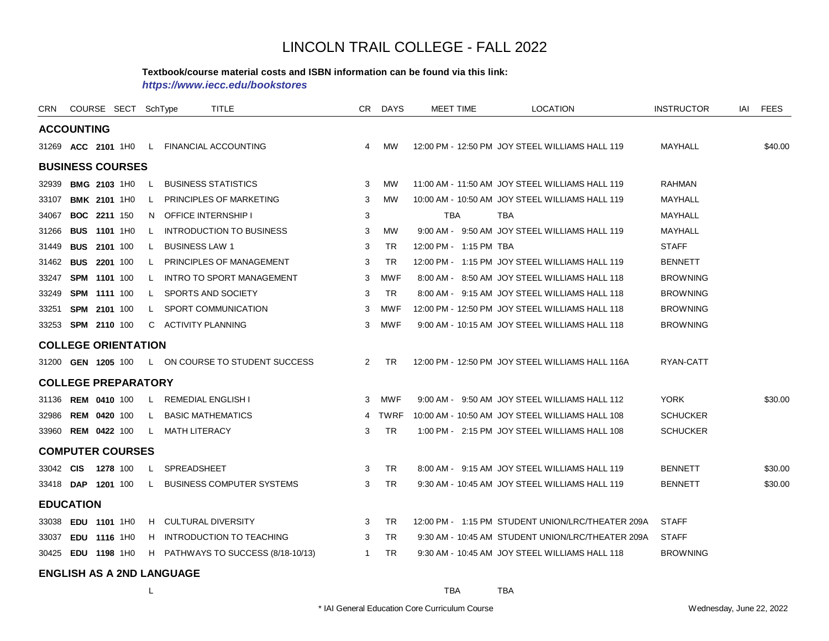#### **Textbook/course material costs and ISBN information can be found via this link:**

*https://www.iecc.edu/bookstores*

| <b>CRN</b> | COURSE SECT SchType        |          |              |                            | <b>TITLE</b>                       |                | CR DAYS    | <b>MEET TIME</b>       | <b>LOCATION</b>                                   | <b>INSTRUCTOR</b> | IAI | <b>FEES</b> |
|------------|----------------------------|----------|--------------|----------------------------|------------------------------------|----------------|------------|------------------------|---------------------------------------------------|-------------------|-----|-------------|
|            | <b>ACCOUNTING</b>          |          |              |                            |                                    |                |            |                        |                                                   |                   |     |             |
|            | 31269 ACC 2101 1H0         |          |              |                            | L FINANCIAL ACCOUNTING             | $\overline{4}$ | <b>MW</b>  |                        | 12:00 PM - 12:50 PM JOY STEEL WILLIAMS HALL 119   | MAYHALL           |     | \$40.00     |
|            | <b>BUSINESS COURSES</b>    |          |              |                            |                                    |                |            |                        |                                                   |                   |     |             |
| 32939      | <b>BMG 2103 1H0</b>        |          | L.           |                            | <b>BUSINESS STATISTICS</b>         | 3              | <b>MW</b>  |                        | 11:00 AM - 11:50 AM JOY STEEL WILLIAMS HALL 119   | <b>RAHMAN</b>     |     |             |
| 33107      | <b>BMK 2101 1H0</b>        |          | L.           |                            | PRINCIPLES OF MARKETING            | 3              | <b>MW</b>  |                        | 10:00 AM - 10:50 AM JOY STEEL WILLIAMS HALL 119   | MAYHALL           |     |             |
| 34067      | <b>BOC 2211 150</b>        |          | N.           | <b>OFFICE INTERNSHIP I</b> |                                    | 3              |            | TBA                    | <b>TBA</b>                                        | MAYHALL           |     |             |
| 31266      | <b>BUS 1101 1H0</b>        |          | $\mathsf{L}$ |                            | <b>INTRODUCTION TO BUSINESS</b>    | 3              | MW         |                        | 9:00 AM - 9:50 AM JOY STEEL WILLIAMS HALL 119     | <b>MAYHALL</b>    |     |             |
| 31449      | <b>BUS 2101 100</b>        |          | L.           | <b>BUSINESS LAW 1</b>      |                                    | 3              | <b>TR</b>  | 12:00 PM - 1:15 PM TBA |                                                   | <b>STAFF</b>      |     |             |
| 31462      | <b>BUS 2201 100</b>        |          | L.           |                            | PRINCIPLES OF MANAGEMENT           | 3              | <b>TR</b>  |                        | 12:00 PM - 1:15 PM JOY STEEL WILLIAMS HALL 119    | <b>BENNETT</b>    |     |             |
| 33247      | SPM 1101 100               |          | L.           |                            | <b>INTRO TO SPORT MANAGEMENT</b>   | 3              | <b>MWF</b> |                        | 8:00 AM - 8:50 AM JOY STEEL WILLIAMS HALL 118     | <b>BROWNING</b>   |     |             |
| 33249      | SPM 1111 100               |          | L.           |                            | SPORTS AND SOCIETY                 | 3              | <b>TR</b>  |                        | 8:00 AM - 9:15 AM JOY STEEL WILLIAMS HALL 118     | <b>BROWNING</b>   |     |             |
| 33251      | <b>SPM</b>                 | 2101 100 | L.           |                            | SPORT COMMUNICATION                | 3              | <b>MWF</b> |                        | 12:00 PM - 12:50 PM JOY STEEL WILLIAMS HALL 118   | <b>BROWNING</b>   |     |             |
|            | 33253 SPM 2110 100         |          |              | C ACTIVITY PLANNING        |                                    | 3              | <b>MWF</b> |                        | 9:00 AM - 10:15 AM JOY STEEL WILLIAMS HALL 118    | <b>BROWNING</b>   |     |             |
|            | <b>COLLEGE ORIENTATION</b> |          |              |                            |                                    |                |            |                        |                                                   |                   |     |             |
|            | 31200 GEN 1205 100         |          |              |                            | L ON COURSE TO STUDENT SUCCESS     | $\mathbf{2}$   | <b>TR</b>  |                        | 12:00 PM - 12:50 PM JOY STEEL WILLIAMS HALL 116A  | RYAN-CATT         |     |             |
|            | <b>COLLEGE PREPARATORY</b> |          |              |                            |                                    |                |            |                        |                                                   |                   |     |             |
|            | 31136 REM 0410 100         |          |              | L REMEDIAL ENGLISH I       |                                    | 3              | <b>MWF</b> |                        | 9:00 AM - 9:50 AM JOY STEEL WILLIAMS HALL 112     | <b>YORK</b>       |     | \$30.00     |
| 32986      | <b>REM 0420 100</b>        |          | $\mathsf{L}$ |                            | <b>BASIC MATHEMATICS</b>           |                | 4 TWRF     |                        | 10:00 AM - 10:50 AM JOY STEEL WILLIAMS HALL 108   | <b>SCHUCKER</b>   |     |             |
|            | 33960 REM 0422 100         |          | L.           | <b>MATH LITERACY</b>       |                                    | 3              | <b>TR</b>  |                        | 1:00 PM - 2:15 PM JOY STEEL WILLIAMS HALL 108     | <b>SCHUCKER</b>   |     |             |
|            | <b>COMPUTER COURSES</b>    |          |              |                            |                                    |                |            |                        |                                                   |                   |     |             |
| 33042 CIS  |                            | 1278 100 | L.           | <b>SPREADSHEET</b>         |                                    | 3              | <b>TR</b>  |                        | 8:00 AM - 9:15 AM JOY STEEL WILLIAMS HALL 119     | <b>BENNETT</b>    |     | \$30.00     |
|            | 33418 DAP 1201 100         |          |              |                            | L BUSINESS COMPUTER SYSTEMS        | 3              | TR         |                        | 9:30 AM - 10:45 AM JOY STEEL WILLIAMS HALL 119    | <b>BENNETT</b>    |     | \$30.00     |
|            | <b>EDUCATION</b>           |          |              |                            |                                    |                |            |                        |                                                   |                   |     |             |
| 33038      | EDU 1101 1H0               |          |              |                            | H CULTURAL DIVERSITY               | 3              | <b>TR</b>  |                        | 12:00 PM - 1:15 PM STUDENT UNION/LRC/THEATER 209A | <b>STAFF</b>      |     |             |
| 33037      | EDU 1116 1H0               |          |              |                            | H INTRODUCTION TO TEACHING         | 3              | <b>TR</b>  |                        | 9:30 AM - 10:45 AM STUDENT UNION/LRC/THEATER 209A | <b>STAFF</b>      |     |             |
|            | 30425 EDU 1198 1H0         |          |              |                            | H PATHWAYS TO SUCCESS (8/18-10/13) | $\mathbf{1}$   | <b>TR</b>  |                        | 9:30 AM - 10:45 AM JOY STEEL WILLIAMS HALL 118    | <b>BROWNING</b>   |     |             |

**ENGLISH AS A 2ND LANGUAGE**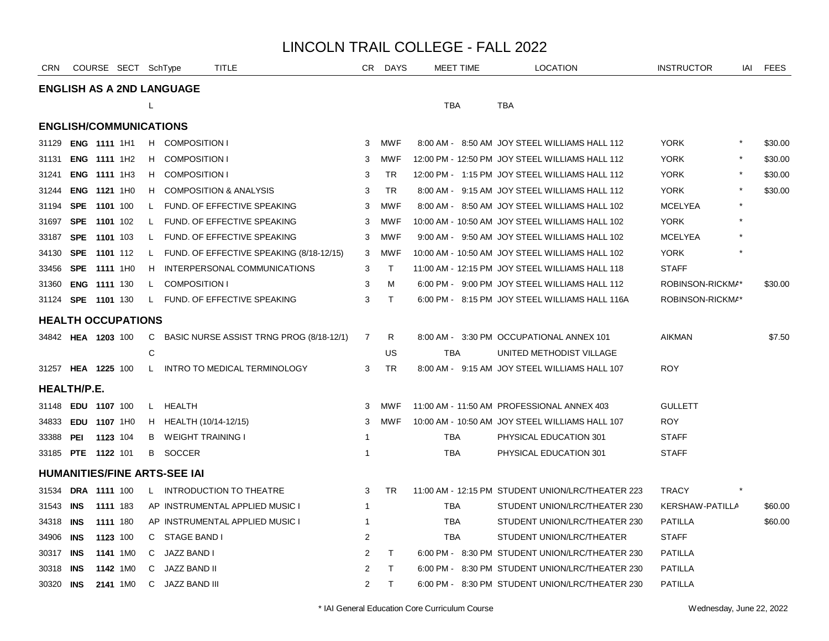| <b>CRN</b>                    |                     |          | COURSE SECT SchType |    | TITLE                                    |                | CR DAYS      | <b>MEET TIME</b> | <b>LOCATION</b>                                   | <b>INSTRUCTOR</b>      | iai     | <b>FEES</b> |
|-------------------------------|---------------------|----------|---------------------|----|------------------------------------------|----------------|--------------|------------------|---------------------------------------------------|------------------------|---------|-------------|
|                               |                     |          |                     |    | <b>ENGLISH AS A 2ND LANGUAGE</b>         |                |              |                  |                                                   |                        |         |             |
|                               |                     |          |                     | L  |                                          |                |              | <b>TBA</b>       | <b>TBA</b>                                        |                        |         |             |
| <b>ENGLISH/COMMUNICATIONS</b> |                     |          |                     |    |                                          |                |              |                  |                                                   |                        |         |             |
| 31129                         | <b>ENG 1111 1H1</b> |          |                     |    | H COMPOSITION I                          | 3              | MWF          |                  | 8:00 AM - 8:50 AM JOY STEEL WILLIAMS HALL 112     | <b>YORK</b>            | $\star$ | \$30.00     |
| 31131                         | ENG 1111 1H2        |          |                     | H. | <b>COMPOSITION I</b>                     | 3              | MWF          |                  | 12:00 PM - 12:50 PM JOY STEEL WILLIAMS HALL 112   | <b>YORK</b>            |         | \$30.00     |
| 31241                         | ENG 1111 1H3        |          |                     | H. | <b>COMPOSITION I</b>                     | 3              | <b>TR</b>    |                  | 12:00 PM - 1:15 PM JOY STEEL WILLIAMS HALL 112    | <b>YORK</b>            |         | \$30.00     |
| 31244                         | ENG 1121 1H0        |          |                     | H. | <b>COMPOSITION &amp; ANALYSIS</b>        | 3              | <b>TR</b>    |                  | 8:00 AM - 9:15 AM JOY STEEL WILLIAMS HALL 112     | <b>YORK</b>            |         | \$30.00     |
| 31194                         | SPE 1101 100        |          |                     | L. | FUND. OF EFFECTIVE SPEAKING              | 3              | <b>MWF</b>   |                  | 8:00 AM - 8:50 AM JOY STEEL WILLIAMS HALL 102     | <b>MCELYEA</b>         |         |             |
| 31697                         | <b>SPE</b>          | 1101 102 |                     | L. | FUND. OF EFFECTIVE SPEAKING              | 3              | <b>MWF</b>   |                  | 10:00 AM - 10:50 AM JOY STEEL WILLIAMS HALL 102   | <b>YORK</b>            |         |             |
| 33187                         | SPE 1101 103        |          |                     | L  | FUND. OF EFFECTIVE SPEAKING              | 3              | MWF          |                  | 9:00 AM - 9:50 AM JOY STEEL WILLIAMS HALL 102     | <b>MCELYEA</b>         |         |             |
| 34130                         | SPE                 | 1101 112 |                     | L. | FUND. OF EFFECTIVE SPEAKING (8/18-12/15) | 3              | MWF          |                  | 10:00 AM - 10:50 AM JOY STEEL WILLIAMS HALL 102   | <b>YORK</b>            |         |             |
| 33456                         | <b>SPE 1111 1H0</b> |          |                     | H. | INTERPERSONAL COMMUNICATIONS             | 3              | $\mathsf{T}$ |                  | 11:00 AM - 12:15 PM JOY STEEL WILLIAMS HALL 118   | <b>STAFF</b>           |         |             |
| 31360 <b>ENG 1111</b> 130     |                     |          |                     | L. | <b>COMPOSITION I</b>                     | 3              | м            |                  | 6:00 PM - 9:00 PM JOY STEEL WILLIAMS HALL 112     | ROBINSON-RICKMA*       |         | \$30.00     |
| 31124 SPE 1101 130            |                     |          |                     | L  | FUND. OF EFFECTIVE SPEAKING              | 3              | $\top$       |                  | 6:00 PM - 8:15 PM JOY STEEL WILLIAMS HALL 116A    | ROBINSON-RICKMA*       |         |             |
| <b>HEALTH OCCUPATIONS</b>     |                     |          |                     |    |                                          |                |              |                  |                                                   |                        |         |             |
| 34842 HEA 1203 100            |                     |          |                     | C  | BASIC NURSE ASSIST TRNG PROG (8/18-12/1) | 7              | R            |                  | 8:00 AM - 3:30 PM OCCUPATIONAL ANNEX 101          | <b>AIKMAN</b>          |         | \$7.50      |
|                               |                     |          |                     | C  |                                          |                | US           | <b>TBA</b>       | UNITED METHODIST VILLAGE                          |                        |         |             |
| 31257 HEA 1225 100            |                     |          |                     |    | L INTRO TO MEDICAL TERMINOLOGY           | 3              | <b>TR</b>    |                  | 8:00 AM - 9:15 AM JOY STEEL WILLIAMS HALL 107     | <b>ROY</b>             |         |             |
| <b>HEALTH/P.E.</b>            |                     |          |                     |    |                                          |                |              |                  |                                                   |                        |         |             |
| 31148 EDU 1107 100            |                     |          |                     | L. | HEALTH                                   | 3              | MWF          |                  | 11:00 AM - 11:50 AM PROFESSIONAL ANNEX 403        | <b>GULLETT</b>         |         |             |
| 34833                         | <b>EDU 1107 1H0</b> |          |                     |    | H HEALTH (10/14-12/15)                   | 3              | MWF          |                  | 10:00 AM - 10:50 AM JOY STEEL WILLIAMS HALL 107   | <b>ROY</b>             |         |             |
| 33388                         | PEI                 | 1123 104 |                     | в  | <b>WEIGHT TRAINING I</b>                 | -1             |              | TBA              | PHYSICAL EDUCATION 301                            | <b>STAFF</b>           |         |             |
| 33185 PTE 1122 101            |                     |          |                     |    | B SOCCER                                 | -1             |              | TBA              | PHYSICAL EDUCATION 301                            | <b>STAFF</b>           |         |             |
|                               |                     |          |                     |    | <b>HUMANITIES/FINE ARTS-SEE IAI</b>      |                |              |                  |                                                   |                        |         |             |
| 31534                         | <b>DRA 1111 100</b> |          |                     | L. | <b>INTRODUCTION TO THEATRE</b>           | 3              | <b>TR</b>    |                  | 11:00 AM - 12:15 PM STUDENT UNION/LRC/THEATER 223 | <b>TRACY</b>           |         |             |
| 31543                         | INS                 | 1111 183 |                     |    | AP INSTRUMENTAL APPLIED MUSIC I          | $\overline{1}$ |              | <b>TBA</b>       | STUDENT UNION/LRC/THEATER 230                     | <b>KERSHAW-PATILLA</b> |         | \$60.00     |
| 34318 <b>INS</b>              |                     | 1111 180 |                     |    | AP INSTRUMENTAL APPLIED MUSIC I          | $\overline{1}$ |              | TBA              | STUDENT UNION/LRC/THEATER 230                     | <b>PATILLA</b>         |         | \$60.00     |
| 34906                         | INS                 | 1123 100 |                     | C  | STAGE BAND I                             | 2              |              | <b>TBA</b>       | STUDENT UNION/LRC/THEATER                         | <b>STAFF</b>           |         |             |
| 30317                         | INS                 |          | 1141 1M0            | C  | JAZZ BAND I                              | 2              | $\mathsf{T}$ |                  | 6:00 PM - 8:30 PM STUDENT UNION/LRC/THEATER 230   | <b>PATILLA</b>         |         |             |
| 30318                         | INS                 |          | 1142 1M0            | C. | JAZZ BAND II                             | 2              | T            |                  | 6:00 PM - 8:30 PM STUDENT UNION/LRC/THEATER 230   | <b>PATILLA</b>         |         |             |
| 30320 INS                     |                     |          | 2141 1M0            | C. | JAZZ BAND III                            | 2              | $\mathsf{T}$ |                  | 6:00 PM - 8:30 PM STUDENT UNION/LRC/THEATER 230   | <b>PATILLA</b>         |         |             |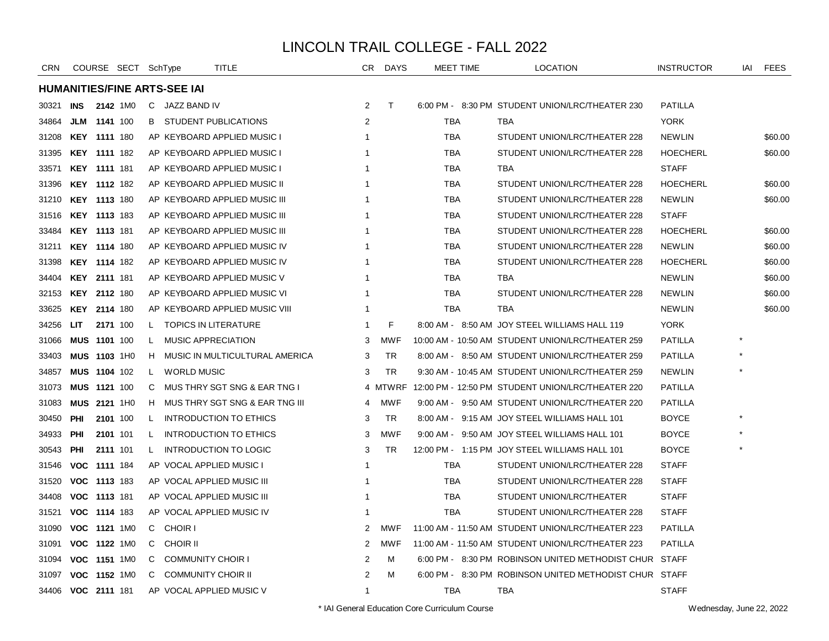| <b>CRN</b>         |                     |                     | COURSE SECT SchType |              |                                     | TITLE                            | CR.            | <b>DAYS</b> | MEET TIME  | <b>LOCATION</b>                                        | <b>INSTRUCTOR</b> | iai | FEES    |
|--------------------|---------------------|---------------------|---------------------|--------------|-------------------------------------|----------------------------------|----------------|-------------|------------|--------------------------------------------------------|-------------------|-----|---------|
|                    |                     |                     |                     |              | <b>HUMANITIES/FINE ARTS-SEE IAI</b> |                                  |                |             |            |                                                        |                   |     |         |
| 30321              | <b>INS</b>          |                     | 2142 1M0            |              | C JAZZ BAND IV                      |                                  | $\overline{2}$ | T           |            | 6:00 PM - 8:30 PM STUDENT UNION/LRC/THEATER 230        | <b>PATILLA</b>    |     |         |
| 34864              |                     | <b>JLM 1141</b> 100 |                     | B            |                                     | STUDENT PUBLICATIONS             | 2              |             | TBA        | TBA                                                    | <b>YORK</b>       |     |         |
| 31208              | <b>KEY 1111 180</b> |                     |                     |              |                                     | AP KEYBOARD APPLIED MUSIC I      | 1              |             | TBA        | STUDENT UNION/LRC/THEATER 228                          | <b>NEWLIN</b>     |     | \$60.00 |
| 31395              |                     | <b>KEY 1111 182</b> |                     |              |                                     | AP KEYBOARD APPLIED MUSIC I      |                |             | <b>TBA</b> | STUDENT UNION/LRC/THEATER 228                          | <b>HOECHERL</b>   |     | \$60.00 |
| 33571              |                     | <b>KEY 1111 181</b> |                     |              |                                     | AP KEYBOARD APPLIED MUSIC I      | 1              |             | <b>TBA</b> | TBA                                                    | <b>STAFF</b>      |     |         |
| 31396              | <b>KEY 1112 182</b> |                     |                     |              |                                     | AP KEYBOARD APPLIED MUSIC II     | 1              |             | <b>TBA</b> | STUDENT UNION/LRC/THEATER 228                          | <b>HOECHERL</b>   |     | \$60.00 |
| 31210 KEY 1113 180 |                     |                     |                     |              |                                     | AP KEYBOARD APPLIED MUSIC III    |                |             | <b>TBA</b> | STUDENT UNION/LRC/THEATER 228                          | <b>NEWLIN</b>     |     | \$60.00 |
| 31516              | <b>KEY 1113 183</b> |                     |                     |              |                                     | AP KEYBOARD APPLIED MUSIC III    | -1             |             | <b>TBA</b> | STUDENT UNION/LRC/THEATER 228                          | <b>STAFF</b>      |     |         |
| 33484              |                     | <b>KEY 1113 181</b> |                     |              |                                     | AP KEYBOARD APPLIED MUSIC III    | 1              |             | TBA        | STUDENT UNION/LRC/THEATER 228                          | <b>HOECHERL</b>   |     | \$60.00 |
| 31211              |                     | <b>KEY 1114 180</b> |                     |              |                                     | AP KEYBOARD APPLIED MUSIC IV     | -1             |             | TBA        | STUDENT UNION/LRC/THEATER 228                          | <b>NEWLIN</b>     |     | \$60.00 |
| 31398              |                     | <b>KEY 1114 182</b> |                     |              |                                     | AP KEYBOARD APPLIED MUSIC IV     |                |             | <b>TBA</b> | STUDENT UNION/LRC/THEATER 228                          | <b>HOECHERL</b>   |     | \$60.00 |
| 34404              |                     | KEY 2111 181        |                     |              |                                     | AP KEYBOARD APPLIED MUSIC V      |                |             | <b>TBA</b> | <b>TBA</b>                                             | <b>NEWLIN</b>     |     | \$60.00 |
| 32153              | <b>KEY 2112 180</b> |                     |                     |              |                                     | AP KEYBOARD APPLIED MUSIC VI     | -1             |             | <b>TBA</b> | STUDENT UNION/LRC/THEATER 228                          | <b>NEWLIN</b>     |     | \$60.00 |
| 33625              |                     | KEY 2114 180        |                     |              |                                     | AP KEYBOARD APPLIED MUSIC VIII   | 1              |             | TBA        | <b>TBA</b>                                             | <b>NEWLIN</b>     |     | \$60.00 |
| 34256              | LIT                 | 2171 100            |                     | $\mathsf{L}$ |                                     | <b>TOPICS IN LITERATURE</b>      | 1              | F           |            | 8:00 AM - 8:50 AM JOY STEEL WILLIAMS HALL 119          | <b>YORK</b>       |     |         |
| 31066              | <b>MUS 1101 100</b> |                     |                     | L            | <b>MUSIC APPRECIATION</b>           |                                  | 3              | <b>MWF</b>  |            | 10:00 AM - 10:50 AM STUDENT UNION/LRC/THEATER 259      | <b>PATILLA</b>    |     |         |
| 33403              |                     | MUS 1103 1H0        |                     |              |                                     | H MUSIC IN MULTICULTURAL AMERICA | 3              | <b>TR</b>   |            | 8:00 AM - 8:50 AM STUDENT UNION/LRC/THEATER 259        | <b>PATILLA</b>    |     |         |
| 34857              |                     | MUS 1104 102        |                     | L.           | <b>WORLD MUSIC</b>                  |                                  | 3              | TR          |            | 9:30 AM - 10:45 AM STUDENT UNION/LRC/THEATER 259       | <b>NEWLIN</b>     |     |         |
| 31073              |                     | <b>MUS 1121 100</b> |                     | C            |                                     | MUS THRY SGT SNG & EAR TNG I     |                | 4 MTWRF     |            | 12:00 PM - 12:50 PM STUDENT UNION/LRC/THEATER 220      | <b>PATILLA</b>    |     |         |
| 31083              |                     | MUS 2121 1H0        |                     | H.           |                                     | MUS THRY SGT SNG & EAR TNG III   | 4              | <b>MWF</b>  |            | 9:00 AM - 9:50 AM STUDENT UNION/LRC/THEATER 220        | <b>PATILLA</b>    |     |         |
| 30450              | <b>PHI</b>          | 2101 100            |                     | L.           |                                     | INTRODUCTION TO ETHICS           | 3              | <b>TR</b>   |            | 8:00 AM - 9:15 AM JOY STEEL WILLIAMS HALL 101          | <b>BOYCE</b>      |     |         |
| 34933              | PHI                 | 2101 101            |                     | L.           |                                     | INTRODUCTION TO ETHICS           | 3              | <b>MWF</b>  |            | 9:00 AM - 9:50 AM JOY STEEL WILLIAMS HALL 101          | <b>BOYCE</b>      |     |         |
| 30543              | <b>PHI</b>          | 2111 101            |                     | L.           |                                     | <b>INTRODUCTION TO LOGIC</b>     | 3              | <b>TR</b>   |            | 12:00 PM - 1:15 PM JOY STEEL WILLIAMS HALL 101         | <b>BOYCE</b>      |     |         |
| 31546              |                     | VOC 1111 184        |                     |              |                                     | AP VOCAL APPLIED MUSIC I         | 1              |             | <b>TBA</b> | STUDENT UNION/LRC/THEATER 228                          | <b>STAFF</b>      |     |         |
| 31520              |                     | VOC 1113 183        |                     |              |                                     | AP VOCAL APPLIED MUSIC III       |                |             | <b>TBA</b> | STUDENT UNION/LRC/THEATER 228                          | <b>STAFF</b>      |     |         |
| 34408              |                     | VOC 1113 181        |                     |              |                                     | AP VOCAL APPLIED MUSIC III       | -1             |             | TBA        | STUDENT UNION/LRC/THEATER                              | <b>STAFF</b>      |     |         |
| 31521              |                     | VOC 1114 183        |                     |              |                                     | AP VOCAL APPLIED MUSIC IV        |                |             | <b>TBA</b> | STUDENT UNION/LRC/THEATER 228                          | <b>STAFF</b>      |     |         |
| 31090              |                     | VOC 1121 1M0        |                     |              | C CHOIR I                           |                                  | 2              | <b>MWF</b>  |            | 11:00 AM - 11:50 AM STUDENT UNION/LRC/THEATER 223      | <b>PATILLA</b>    |     |         |
| 31091              |                     | VOC 1122 1M0        |                     | C            | <b>CHOIR II</b>                     |                                  | 2              | <b>MWF</b>  |            | 11:00 AM - 11:50 AM STUDENT UNION/LRC/THEATER 223      | <b>PATILLA</b>    |     |         |
| 31094              |                     | VOC 1151 1M0        |                     | C            | <b>COMMUNITY CHOIR I</b>            |                                  | 2              | м           |            | 6:00 PM - 8:30 PM ROBINSON UNITED METHODIST CHUR STAFF |                   |     |         |
| 31097              |                     | VOC 1152 1M0        |                     | C            | <b>COMMUNITY CHOIR II</b>           |                                  | 2              | M           |            | 6:00 PM - 8:30 PM ROBINSON UNITED METHODIST CHUR STAFF |                   |     |         |
| 34406 VOC 2111 181 |                     |                     |                     |              |                                     | AP VOCAL APPLIED MUSIC V         | $\mathbf{1}$   |             | TBA        | TBA                                                    | <b>STAFF</b>      |     |         |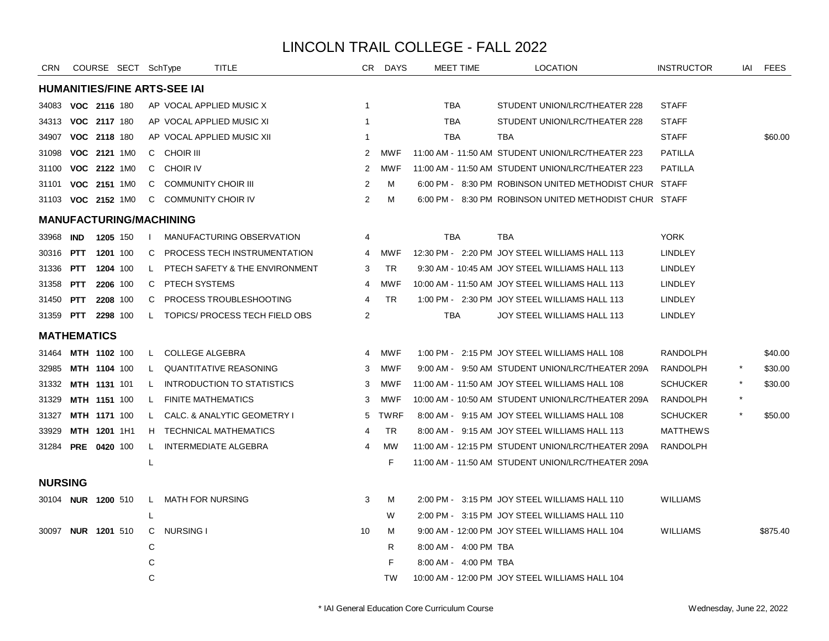| <b>CRN</b>       |                           |          | COURSE SECT SchType |              |                                     | TITLE                             | CR.            | <b>DAYS</b> | <b>MEET TIME</b>      | <b>LOCATION</b>                                        | <b>INSTRUCTOR</b> | iai | FEES     |
|------------------|---------------------------|----------|---------------------|--------------|-------------------------------------|-----------------------------------|----------------|-------------|-----------------------|--------------------------------------------------------|-------------------|-----|----------|
|                  |                           |          |                     |              | <b>HUMANITIES/FINE ARTS-SEE IAI</b> |                                   |                |             |                       |                                                        |                   |     |          |
| 34083            | VOC 2116 180              |          |                     |              |                                     | AP VOCAL APPLIED MUSIC X          | $\mathbf 1$    |             | TBA                   | STUDENT UNION/LRC/THEATER 228                          | <b>STAFF</b>      |     |          |
| 34313            | VOC 2117 180              |          |                     |              |                                     | AP VOCAL APPLIED MUSIC XI         | -1             |             | TBA                   | STUDENT UNION/LRC/THEATER 228                          | <b>STAFF</b>      |     |          |
| 34907            | VOC 2118 180              |          |                     |              |                                     | AP VOCAL APPLIED MUSIC XII        | -1             |             | <b>TBA</b>            | <b>TBA</b>                                             | <b>STAFF</b>      |     | \$60.00  |
| 31098            | VOC 2121 1M0              |          |                     |              | C CHOIR III                         |                                   | 2              | <b>MWF</b>  |                       | 11:00 AM - 11:50 AM STUDENT UNION/LRC/THEATER 223      | <b>PATILLA</b>    |     |          |
| 31100            | VOC 2122 1M0              |          |                     | C.           | <b>CHOIR IV</b>                     |                                   | 2              | <b>MWF</b>  |                       | 11:00 AM - 11:50 AM STUDENT UNION/LRC/THEATER 223      | <b>PATILLA</b>    |     |          |
| 31101            | VOC 2151 1M0              |          |                     | C.           | <b>COMMUNITY CHOIR III</b>          |                                   | 2              | м           |                       | 6:00 PM - 8:30 PM ROBINSON UNITED METHODIST CHUR STAFF |                   |     |          |
|                  | 31103 VOC 2152 1M0        |          |                     | C.           | <b>COMMUNITY CHOIR IV</b>           |                                   | 2              | м           |                       | 6:00 PM - 8:30 PM ROBINSON UNITED METHODIST CHUR STAFF |                   |     |          |
|                  |                           |          |                     |              | <b>MANUFACTURING/MACHINING</b>      |                                   |                |             |                       |                                                        |                   |     |          |
| 33968 IND        |                           | 1205 150 |                     | $\mathbf{I}$ |                                     | MANUFACTURING OBSERVATION         | 4              |             | <b>TBA</b>            | <b>TBA</b>                                             | <b>YORK</b>       |     |          |
| 30316 <b>PTT</b> |                           | 1201 100 |                     | C            |                                     | PROCESS TECH INSTRUMENTATION      | 4              | MWF         |                       | 12:30 PM - 2:20 PM JOY STEEL WILLIAMS HALL 113         | <b>LINDLEY</b>    |     |          |
| 31336            | PTT                       | 1204 100 |                     | L.           |                                     | PTECH SAFETY & THE ENVIRONMENT    | 3              | <b>TR</b>   |                       | 9:30 AM - 10:45 AM JOY STEEL WILLIAMS HALL 113         | LINDLEY           |     |          |
| 31358            | <b>PTT</b>                | 2206 100 |                     | C            | PTECH SYSTEMS                       |                                   | 4              | <b>MWF</b>  |                       | 10:00 AM - 11:50 AM JOY STEEL WILLIAMS HALL 113        | <b>LINDLEY</b>    |     |          |
| 31450            | <b>PTT</b>                | 2208 100 |                     | C            |                                     | PROCESS TROUBLESHOOTING           | 4              | <b>TR</b>   |                       | 1:00 PM - 2:30 PM JOY STEEL WILLIAMS HALL 113          | <b>LINDLEY</b>    |     |          |
|                  | 31359 PTT 2298 100        |          |                     | L.           |                                     | TOPICS/ PROCESS TECH FIELD OBS    | 2              |             | <b>TBA</b>            | JOY STEEL WILLIAMS HALL 113                            | <b>LINDLEY</b>    |     |          |
|                  | <b>MATHEMATICS</b>        |          |                     |              |                                     |                                   |                |             |                       |                                                        |                   |     |          |
| 31464            | MTH 1102 100              |          |                     | L.           | <b>COLLEGE ALGEBRA</b>              |                                   | $\overline{4}$ | <b>MWF</b>  |                       | 1:00 PM - 2:15 PM JOY STEEL WILLIAMS HALL 108          | <b>RANDOLPH</b>   |     | \$40.00  |
| 32985            | MTH 1104 100              |          |                     | L.           |                                     | <b>QUANTITATIVE REASONING</b>     | 3              | <b>MWF</b>  |                       | 9:00 AM - 9:50 AM STUDENT UNION/LRC/THEATER 209A       | <b>RANDOLPH</b>   |     | \$30.00  |
| 31332            | MTH 1131 101              |          |                     | L            |                                     | <b>INTRODUCTION TO STATISTICS</b> | 3              | <b>MWF</b>  |                       | 11:00 AM - 11:50 AM JOY STEEL WILLIAMS HALL 108        | <b>SCHUCKER</b>   |     | \$30.00  |
| 31329            | <b>MTH 1151 100</b>       |          |                     | L.           | <b>FINITE MATHEMATICS</b>           |                                   | 3              | <b>MWF</b>  |                       | 10:00 AM - 10:50 AM STUDENT UNION/LRC/THEATER 209A     | <b>RANDOLPH</b>   |     |          |
| 31327            | MTH 1171 100              |          |                     | L.           |                                     | CALC. & ANALYTIC GEOMETRY I       | 5              | <b>TWRF</b> |                       | 8:00 AM - 9:15 AM JOY STEEL WILLIAMS HALL 108          | SCHUCKER          |     | \$50.00  |
| 33929            | MTH 1201 1H1              |          |                     | H.           |                                     | <b>TECHNICAL MATHEMATICS</b>      | 4              | <b>TR</b>   |                       | 8:00 AM - 9:15 AM JOY STEEL WILLIAMS HALL 113          | <b>MATTHEWS</b>   |     |          |
| 31284            | <b>PRE 0420 100</b>       |          |                     | L            |                                     | <b>INTERMEDIATE ALGEBRA</b>       | 4              | <b>MW</b>   |                       | 11:00 AM - 12:15 PM STUDENT UNION/LRC/THEATER 209A     | <b>RANDOLPH</b>   |     |          |
|                  |                           |          |                     | L            |                                     |                                   |                | F           |                       | 11:00 AM - 11:50 AM STUDENT UNION/LRC/THEATER 209A     |                   |     |          |
| <b>NURSING</b>   |                           |          |                     |              |                                     |                                   |                |             |                       |                                                        |                   |     |          |
|                  | 30104 NUR 1200 510        |          |                     | L.           | MATH FOR NURSING                    |                                   | 3              | м           |                       | 2:00 PM - 3:15 PM JOY STEEL WILLIAMS HALL 110          | <b>WILLIAMS</b>   |     |          |
|                  |                           |          |                     | L            |                                     |                                   |                | W           |                       | 2:00 PM - 3:15 PM JOY STEEL WILLIAMS HALL 110          |                   |     |          |
|                  | 30097 <b>NUR 1201</b> 510 |          |                     | C.           | <b>NURSING I</b>                    |                                   | 10             | м           |                       | 9:00 AM - 12:00 PM JOY STEEL WILLIAMS HALL 104         | <b>WILLIAMS</b>   |     | \$875.40 |
|                  |                           |          |                     | С            |                                     |                                   |                | R.          | 8:00 AM - 4:00 PM TBA |                                                        |                   |     |          |
|                  |                           |          |                     | C            |                                     |                                   |                | F.          | 8:00 AM - 4:00 PM TBA |                                                        |                   |     |          |
|                  |                           |          |                     | C            |                                     |                                   |                | <b>TW</b>   |                       | 10:00 AM - 12:00 PM JOY STEEL WILLIAMS HALL 104        |                   |     |          |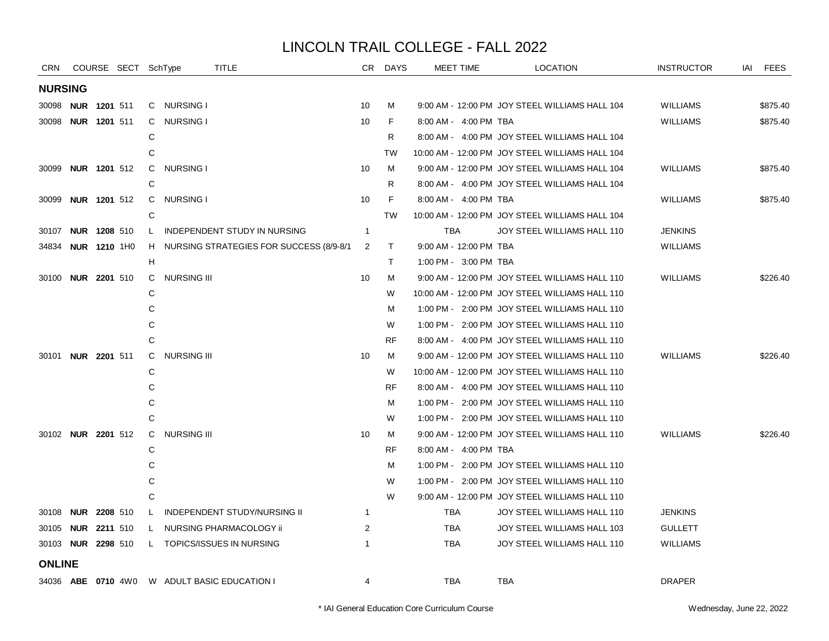| <b>CRN</b>                |                     | COURSE SECT SchType |    |                    | <b>TITLE</b>                                 |                         | CR DAYS   |            | MEET TIME              | <b>LOCATION</b>                                 | <b>INSTRUCTOR</b> | IAI FEES |
|---------------------------|---------------------|---------------------|----|--------------------|----------------------------------------------|-------------------------|-----------|------------|------------------------|-------------------------------------------------|-------------------|----------|
| <b>NURSING</b>            |                     |                     |    |                    |                                              |                         |           |            |                        |                                                 |                   |          |
| 30098                     | <b>NUR 1201 511</b> |                     |    | C NURSING I        |                                              | 10                      | м         |            |                        | 9:00 AM - 12:00 PM JOY STEEL WILLIAMS HALL 104  | <b>WILLIAMS</b>   | \$875.40 |
| 30098                     | <b>NUR 1201 511</b> |                     | C  | NURSING I          |                                              | 10                      | F.        |            | 8:00 AM - 4:00 PM TBA  |                                                 | <b>WILLIAMS</b>   | \$875.40 |
|                           |                     |                     | C  |                    |                                              |                         | R         |            |                        | 8:00 AM - 4:00 PM JOY STEEL WILLIAMS HALL 104   |                   |          |
|                           |                     |                     | C  |                    |                                              |                         | <b>TW</b> |            |                        | 10:00 AM - 12:00 PM JOY STEEL WILLIAMS HALL 104 |                   |          |
| 30099                     | <b>NUR 1201 512</b> |                     | C  | NURSING I          |                                              | 10                      | M         |            |                        | 9:00 AM - 12:00 PM JOY STEEL WILLIAMS HALL 104  | WILLIAMS          | \$875.40 |
|                           |                     |                     | С  |                    |                                              |                         | R         |            |                        | 8:00 AM - 4:00 PM JOY STEEL WILLIAMS HALL 104   |                   |          |
| 30099                     | <b>NUR 1201 512</b> |                     | C  | <b>NURSING I</b>   |                                              | 10                      | F         |            | 8:00 AM - 4:00 PM TBA  |                                                 | <b>WILLIAMS</b>   | \$875.40 |
|                           |                     |                     | C  |                    |                                              |                         | <b>TW</b> |            |                        | 10:00 AM - 12:00 PM JOY STEEL WILLIAMS HALL 104 |                   |          |
| 30107                     | <b>NUR 1208 510</b> |                     | L. |                    | INDEPENDENT STUDY IN NURSING                 | $\overline{\mathbf{1}}$ |           | TBA        |                        | JOY STEEL WILLIAMS HALL 110                     | <b>JENKINS</b>    |          |
| 34834                     | <b>NUR 1210 1H0</b> |                     | H. |                    | NURSING STRATEGIES FOR SUCCESS (8/9-8/1      | 2                       | T.        |            | 9:00 AM - 12:00 PM TBA |                                                 | <b>WILLIAMS</b>   |          |
|                           |                     |                     | н  |                    |                                              |                         | T.        |            | 1:00 PM - 3:00 PM TBA  |                                                 |                   |          |
| 30100                     | <b>NUR 2201 510</b> |                     | C. | <b>NURSING III</b> |                                              | 10                      | M         |            |                        | 9:00 AM - 12:00 PM JOY STEEL WILLIAMS HALL 110  | <b>WILLIAMS</b>   | \$226.40 |
|                           |                     |                     | C  |                    |                                              |                         | W         |            |                        | 10:00 AM - 12:00 PM JOY STEEL WILLIAMS HALL 110 |                   |          |
|                           |                     |                     | С  |                    |                                              |                         | м         |            |                        | 1:00 PM - 2:00 PM JOY STEEL WILLIAMS HALL 110   |                   |          |
|                           |                     |                     | C  |                    |                                              |                         | W         |            |                        | 1:00 PM - 2:00 PM JOY STEEL WILLIAMS HALL 110   |                   |          |
|                           |                     |                     | C  |                    |                                              |                         | <b>RF</b> |            |                        | 8:00 AM - 4:00 PM JOY STEEL WILLIAMS HALL 110   |                   |          |
| 30101 <b>NUR 2201</b> 511 |                     |                     | C  | <b>NURSING III</b> |                                              | 10                      | M         |            |                        | 9:00 AM - 12:00 PM JOY STEEL WILLIAMS HALL 110  | <b>WILLIAMS</b>   | \$226.40 |
|                           |                     |                     | С  |                    |                                              |                         | W         |            |                        | 10:00 AM - 12:00 PM JOY STEEL WILLIAMS HALL 110 |                   |          |
|                           |                     |                     | С  |                    |                                              |                         | RF        |            |                        | 8:00 AM - 4:00 PM JOY STEEL WILLIAMS HALL 110   |                   |          |
|                           |                     |                     | С  |                    |                                              |                         | м         |            |                        | 1:00 PM - 2:00 PM JOY STEEL WILLIAMS HALL 110   |                   |          |
|                           |                     |                     | C  |                    |                                              |                         | W         |            |                        | 1:00 PM - 2:00 PM JOY STEEL WILLIAMS HALL 110   |                   |          |
| 30102 <b>NUR 2201</b> 512 |                     |                     | C. | <b>NURSING III</b> |                                              | 10                      | M         |            |                        | 9:00 AM - 12:00 PM JOY STEEL WILLIAMS HALL 110  | <b>WILLIAMS</b>   | \$226.40 |
|                           |                     |                     | С  |                    |                                              |                         | <b>RF</b> |            | 8:00 AM - 4:00 PM TBA  |                                                 |                   |          |
|                           |                     |                     | C  |                    |                                              |                         | м         |            |                        | 1:00 PM - 2:00 PM JOY STEEL WILLIAMS HALL 110   |                   |          |
|                           |                     |                     | C  |                    |                                              |                         | W         |            |                        | 1:00 PM - 2:00 PM JOY STEEL WILLIAMS HALL 110   |                   |          |
|                           |                     |                     | C  |                    |                                              |                         | W         |            |                        | 9:00 AM - 12:00 PM JOY STEEL WILLIAMS HALL 110  |                   |          |
| 30108                     | <b>NUR 2208 510</b> |                     | L  |                    | INDEPENDENT STUDY/NURSING II                 | $\overline{1}$          |           | TBA        |                        | JOY STEEL WILLIAMS HALL 110                     | <b>JENKINS</b>    |          |
| 30105 <b>NUR 2211</b> 510 |                     |                     | L. |                    | NURSING PHARMACOLOGY ii                      | 2                       |           | <b>TBA</b> |                        | JOY STEEL WILLIAMS HALL 103                     | <b>GULLETT</b>    |          |
| 30103 <b>NUR 2298</b> 510 |                     |                     |    |                    | L TOPICS/ISSUES IN NURSING                   | -1                      |           | <b>TBA</b> |                        | JOY STEEL WILLIAMS HALL 110                     | <b>WILLIAMS</b>   |          |
| <b>ONLINE</b>             |                     |                     |    |                    |                                              |                         |           |            |                        |                                                 |                   |          |
|                           |                     |                     |    |                    | 34036 ABE 0710 4W0 W ADULT BASIC EDUCATION I | 4                       |           | <b>TBA</b> |                        | <b>TBA</b>                                      | <b>DRAPER</b>     |          |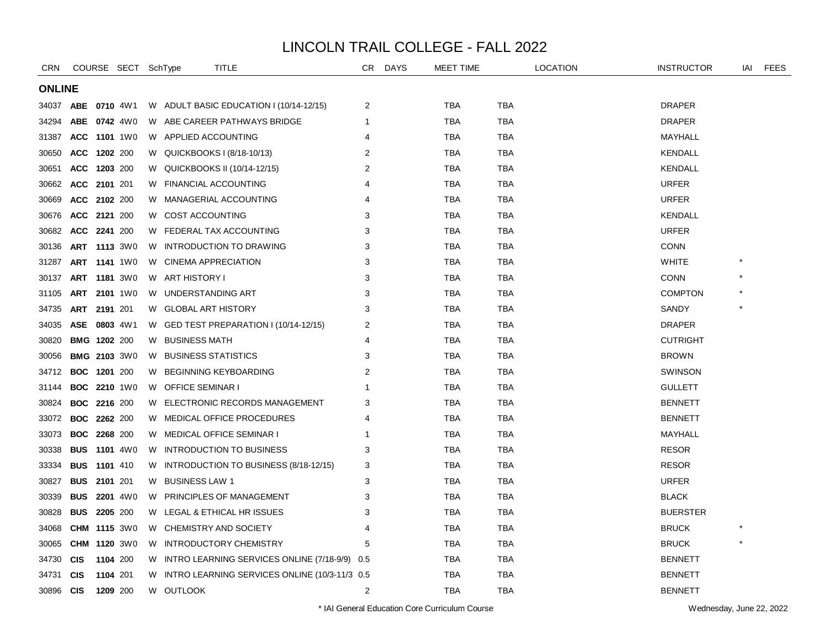| CRN           |                     | COURSE SECT SchType |    | TITLE                                           | CR.            | <b>DAYS</b> | MEET TIME  |            | <b>LOCATION</b> | <b>INSTRUCTOR</b> | iai | <b>FEES</b> |
|---------------|---------------------|---------------------|----|-------------------------------------------------|----------------|-------------|------------|------------|-----------------|-------------------|-----|-------------|
| <b>ONLINE</b> |                     |                     |    |                                                 |                |             |            |            |                 |                   |     |             |
| 34037         | ABE                 | 0710 4W1            |    | W ADULT BASIC EDUCATION I (10/14-12/15)         | 2              |             | TBA        | TBA        |                 | <b>DRAPER</b>     |     |             |
| 34294         | ABE 0742 4W0        |                     |    | W ABE CAREER PATHWAYS BRIDGE                    | 1              |             | TBA        | TBA        |                 | <b>DRAPER</b>     |     |             |
| 31387         | ACC 1101 1W0        |                     |    | W APPLIED ACCOUNTING                            | 4              |             | <b>TBA</b> | <b>TBA</b> |                 | MAYHALL           |     |             |
| 30650         | <b>ACC</b>          | 1202 200            |    | W QUICKBOOKS I (8/18-10/13)                     | 2              |             | <b>TBA</b> | <b>TBA</b> |                 | <b>KENDALL</b>    |     |             |
| 30651         | <b>ACC</b>          | 1203 200            | W. | QUICKBOOKS II (10/14-12/15)                     | 2              |             | TBA        | TBA        |                 | KENDALL           |     |             |
| 30662         | ACC 2101 201        |                     |    | W FINANCIAL ACCOUNTING                          | $\overline{4}$ |             | <b>TBA</b> | <b>TBA</b> |                 | <b>URFER</b>      |     |             |
| 30669         | ACC 2102 200        |                     | W  | MANAGERIAL ACCOUNTING                           | 4              |             | <b>TBA</b> | <b>TBA</b> |                 | <b>URFER</b>      |     |             |
| 30676         | ACC 2121 200        |                     |    | W COST ACCOUNTING                               | 3              |             | TBA        | <b>TBA</b> |                 | KENDALL           |     |             |
| 30682         | ACC 2241 200        |                     |    | W FEDERAL TAX ACCOUNTING                        | 3              |             | TBA        | TBA        |                 | <b>URFER</b>      |     |             |
| 30136         | <b>ART 1113 3W0</b> |                     | W. | <b>INTRODUCTION TO DRAWING</b>                  | 3              |             | <b>TBA</b> | <b>TBA</b> |                 | <b>CONN</b>       |     |             |
| 31287         | <b>ART 1141 1W0</b> |                     | W  | <b>CINEMA APPRECIATION</b>                      | 3              |             | TBA        | TBA        |                 | <b>WHITE</b>      |     |             |
| 30137         | <b>ART 1181 3W0</b> |                     |    | W ART HISTORY I                                 | 3              |             | TBA        | <b>TBA</b> |                 | <b>CONN</b>       |     |             |
| 31105         | ART 2101 1W0        |                     |    | W UNDERSTANDING ART                             | 3              |             | TBA        | TBA        |                 | <b>COMPTON</b>    |     |             |
| 34735         | <b>ART</b>          | 2191 201            |    | W GLOBAL ART HISTORY                            | 3              |             | <b>TBA</b> | <b>TBA</b> |                 | SANDY             |     |             |
| 34035         | <b>ASE</b>          | 0803 4W1            |    | W GED TEST PREPARATION I (10/14-12/15)          | 2              |             | <b>TBA</b> | <b>TBA</b> |                 | <b>DRAPER</b>     |     |             |
| 30820         | <b>BMG 1202 200</b> |                     |    | W BUSINESS MATH                                 | 4              |             | TBA        | TBA        |                 | <b>CUTRIGHT</b>   |     |             |
| 30056         | <b>BMG 2103 3W0</b> |                     |    | W BUSINESS STATISTICS                           | 3              |             | TBA        | TBA        |                 | <b>BROWN</b>      |     |             |
| 34712         | <b>BOC 1201 200</b> |                     |    | W BEGINNING KEYBOARDING                         | $\overline{2}$ |             | <b>TBA</b> | <b>TBA</b> |                 | SWINSON           |     |             |
| 31144         | <b>BOC 2210 1W0</b> |                     |    | W OFFICE SEMINAR I                              | -1             |             | TBA        | <b>TBA</b> |                 | <b>GULLETT</b>    |     |             |
| 30824         | <b>BOC</b>          | 2216 200            | W. | ELECTRONIC RECORDS MANAGEMENT                   | 3              |             | TBA        | TBA        |                 | <b>BENNETT</b>    |     |             |
| 33072         | <b>BOC</b>          | <b>2262</b> 200     |    | W MEDICAL OFFICE PROCEDURES                     | 4              |             | TBA        | TBA        |                 | <b>BENNETT</b>    |     |             |
| 33073         | <b>BOC 2268 200</b> |                     |    | W MEDICAL OFFICE SEMINAR I                      | 1              |             | <b>TBA</b> | <b>TBA</b> |                 | MAYHALL           |     |             |
| 30338         | <b>BUS 1101 4W0</b> |                     |    | W INTRODUCTION TO BUSINESS                      | 3              |             | TBA        | <b>TBA</b> |                 | <b>RESOR</b>      |     |             |
| 33334         | <b>BUS</b>          | 1101 410            |    | W INTRODUCTION TO BUSINESS (8/18-12/15)         | 3              |             | TBA        | TBA        |                 | <b>RESOR</b>      |     |             |
| 30827         | <b>BUS</b>          | 2101 201            | W. | <b>BUSINESS LAW 1</b>                           | 3              |             | <b>TBA</b> | <b>TBA</b> |                 | <b>URFER</b>      |     |             |
| 30339         | <b>BUS</b>          | 2201 4W0            | W. | PRINCIPLES OF MANAGEMENT                        | 3              |             | <b>TBA</b> | <b>TBA</b> |                 | <b>BLACK</b>      |     |             |
| 30828         | <b>BUS</b>          | 2205 200            |    | W LEGAL & ETHICAL HR ISSUES                     | 3              |             | TBA        | <b>TBA</b> |                 | <b>BUERSTER</b>   |     |             |
| 34068         | CHM 1115 3W0        |                     |    | W CHEMISTRY AND SOCIETY                         | 4              |             | TBA        | TBA        |                 | <b>BRUCK</b>      |     |             |
| 30065         | CHM 1120 3W0        |                     |    | W INTRODUCTORY CHEMISTRY                        | 5              |             | <b>TBA</b> | <b>TBA</b> |                 | <b>BRUCK</b>      |     |             |
| 34730         | <b>CIS</b>          | 1104 200            |    | W INTRO LEARNING SERVICES ONLINE (7/18-9/9) 0.5 |                |             | TBA        | <b>TBA</b> |                 | <b>BENNETT</b>    |     |             |
| 34731         | <b>CIS</b>          | 1104 201            | W. | INTRO LEARNING SERVICES ONLINE (10/3-11/3 0.5   |                |             | TBA        | <b>TBA</b> |                 | <b>BENNETT</b>    |     |             |
| 30896         | <b>CIS</b>          | 1209 200            |    | W OUTLOOK                                       | 2              |             | TBA        | <b>TBA</b> |                 | <b>BENNETT</b>    |     |             |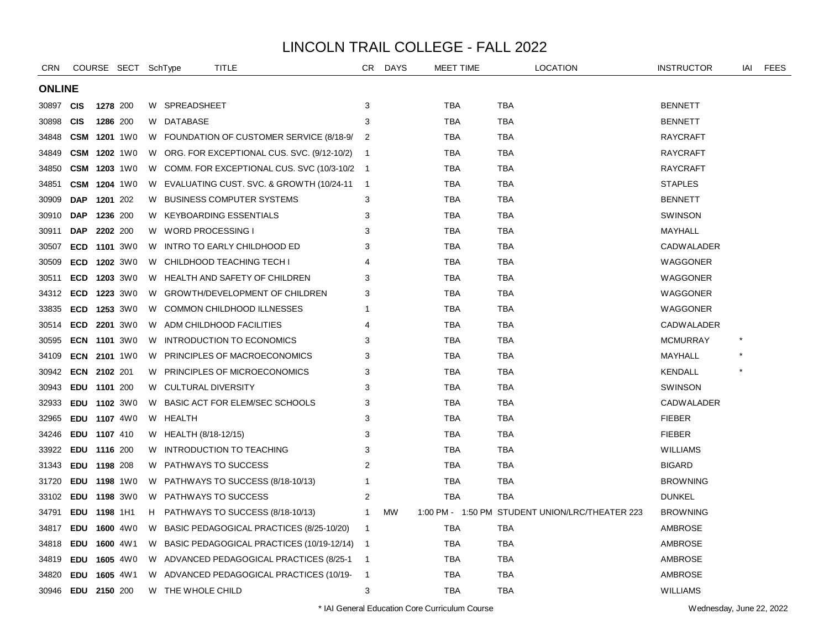| <b>CRN</b>    |                     |          | COURSE SECT SchType |    | TITLE                              |                                               | CR.                        | <b>DAYS</b> | <b>MEET TIME</b> |            | <b>LOCATION</b>                                 | <b>INSTRUCTOR</b> | IAI | <b>FEES</b> |
|---------------|---------------------|----------|---------------------|----|------------------------------------|-----------------------------------------------|----------------------------|-------------|------------------|------------|-------------------------------------------------|-------------------|-----|-------------|
| <b>ONLINE</b> |                     |          |                     |    |                                    |                                               |                            |             |                  |            |                                                 |                   |     |             |
| 30897         | <b>CIS</b>          |          | 1278 200            |    | W SPREADSHEET                      |                                               | 3                          |             | TBA              | TBA        |                                                 | <b>BENNETT</b>    |     |             |
| 30898         | <b>CIS</b>          |          | 1286 200            |    | W DATABASE                         |                                               | 3                          |             | TBA              | TBA        |                                                 | <b>BENNETT</b>    |     |             |
| 34848         | <b>CSM 1201 1W0</b> |          |                     |    |                                    | W FOUNDATION OF CUSTOMER SERVICE (8/18-9/     | $\overline{2}$             |             | TBA              | TBA        |                                                 | <b>RAYCRAFT</b>   |     |             |
| 34849         |                     |          | CSM 1202 1W0        |    |                                    | W ORG. FOR EXCEPTIONAL CUS. SVC. (9/12-10/2)  | - 1                        |             | <b>TBA</b>       | <b>TBA</b> |                                                 | <b>RAYCRAFT</b>   |     |             |
| 34850         |                     |          | CSM 1203 1W0        |    |                                    | W COMM. FOR EXCEPTIONAL CUS. SVC (10/3-10/2 1 |                            |             | <b>TBA</b>       | <b>TBA</b> |                                                 | <b>RAYCRAFT</b>   |     |             |
| 34851         |                     |          | <b>CSM 1204 1W0</b> |    |                                    | W EVALUATING CUST. SVC. & GROWTH (10/24-11    | $\overline{\phantom{0}}$ 1 |             | TBA              | TBA        |                                                 | <b>STAPLES</b>    |     |             |
| 30909         | <b>DAP</b>          | 1201 202 |                     | W  | <b>BUSINESS COMPUTER SYSTEMS</b>   |                                               | 3                          |             | TBA              | <b>TBA</b> |                                                 | <b>BENNETT</b>    |     |             |
| 30910         | <b>DAP</b>          | 1236 200 |                     |    | W KEYBOARDING ESSENTIALS           |                                               | 3                          |             | TBA              | TBA        |                                                 | <b>SWINSON</b>    |     |             |
| 30911         | <b>DAP</b>          | 2202 200 |                     |    | W WORD PROCESSING I                |                                               | 3                          |             | <b>TBA</b>       | <b>TBA</b> |                                                 | MAYHALL           |     |             |
| 30507         | <b>ECD</b>          |          | <b>1101</b> 3W0     | W. | INTRO TO EARLY CHILDHOOD ED        |                                               | 3                          |             | <b>TBA</b>       | <b>TBA</b> |                                                 | <b>CADWALADER</b> |     |             |
| 30509         | <b>ECD</b>          |          | <b>1202</b> 3W0     | W  | CHILDHOOD TEACHING TECH I          |                                               | 4                          |             | <b>TBA</b>       | TBA        |                                                 | WAGGONER          |     |             |
| 30511         | ECD                 |          | <b>1203</b> 3W0     |    | W HEALTH AND SAFETY OF CHILDREN    |                                               | 3                          |             | TBA              | TBA        |                                                 | WAGGONER          |     |             |
| 34312         | <b>ECD</b>          |          | <b>1223</b> 3W0     |    | W GROWTH/DEVELOPMENT OF CHILDREN   |                                               | 3                          |             | TBA              | TBA        |                                                 | WAGGONER          |     |             |
| 33835         | <b>ECD</b>          |          | <b>1253</b> 3W0     |    | W COMMON CHILDHOOD ILLNESSES       |                                               | -1                         |             | TBA              | TBA        |                                                 | WAGGONER          |     |             |
| 30514         | <b>ECD</b>          |          | <b>2201</b> 3W0     |    | W ADM CHILDHOOD FACILITIES         |                                               | 4                          |             | <b>TBA</b>       | TBA        |                                                 | CADWALADER        |     |             |
| 30595         | <b>ECN 1101 3W0</b> |          |                     | W  | INTRODUCTION TO ECONOMICS          |                                               | 3                          |             | <b>TBA</b>       | <b>TBA</b> |                                                 | <b>MCMURRAY</b>   |     |             |
| 34109         |                     |          | <b>ECN 2101 1W0</b> | W  | PRINCIPLES OF MACROECONOMICS       |                                               | 3                          |             | TBA              | TBA        |                                                 | MAYHALL           |     |             |
| 30942         | ECN 2102 201        |          |                     |    | W PRINCIPLES OF MICROECONOMICS     |                                               | 3                          |             | TBA              | TBA        |                                                 | <b>KENDALL</b>    |     |             |
| 30943         | EDU 1101 200        |          |                     |    | W CULTURAL DIVERSITY               |                                               | 3                          |             | TBA              | TBA        |                                                 | <b>SWINSON</b>    |     |             |
| 32933         | EDU 1102 3W0        |          |                     | W  | BASIC ACT FOR ELEM/SEC SCHOOLS     |                                               | 3                          |             | <b>TBA</b>       | <b>TBA</b> |                                                 | CADWALADER        |     |             |
| 32965         | EDU 1107 4W0        |          |                     |    | W HEALTH                           |                                               | 3                          |             | <b>TBA</b>       | <b>TBA</b> |                                                 | <b>FIEBER</b>     |     |             |
| 34246         | EDU 1107 410        |          |                     |    | W HEALTH (8/18-12/15)              |                                               | 3                          |             | TBA              | TBA        |                                                 | <b>FIEBER</b>     |     |             |
| 33922         | EDU 1116 200        |          |                     |    | W INTRODUCTION TO TEACHING         |                                               | 3                          |             | TBA              | TBA        |                                                 | <b>WILLIAMS</b>   |     |             |
| 31343         | EDU 1198 208        |          |                     |    | W PATHWAYS TO SUCCESS              |                                               | 2                          |             | TBA              | <b>TBA</b> |                                                 | <b>BIGARD</b>     |     |             |
| 31720         | EDU 1198 1W0        |          |                     |    | W PATHWAYS TO SUCCESS (8/18-10/13) |                                               | 1                          |             | TBA              | TBA        |                                                 | <b>BROWNING</b>   |     |             |
| 33102         | EDU 1198 3W0        |          |                     |    | W PATHWAYS TO SUCCESS              |                                               | $\overline{2}$             |             | <b>TBA</b>       | <b>TBA</b> |                                                 | <b>DUNKEL</b>     |     |             |
| 34791         | EDU 1198 1H1        |          |                     | H. | PATHWAYS TO SUCCESS (8/18-10/13)   |                                               | -1                         | <b>MW</b>   |                  |            | 1:00 PM - 1:50 PM STUDENT UNION/LRC/THEATER 223 | <b>BROWNING</b>   |     |             |
| 34817         | EDU 1600 4W0        |          |                     | W  |                                    | BASIC PEDAGOGICAL PRACTICES (8/25-10/20)      | $\overline{1}$             |             | <b>TBA</b>       | TBA        |                                                 | AMBROSE           |     |             |
| 34818         | EDU 1600 4W1        |          |                     |    |                                    | W BASIC PEDAGOGICAL PRACTICES (10/19-12/14)   | - 1                        |             | TBA              | <b>TBA</b> |                                                 | AMBROSE           |     |             |
| 34819         | EDU 1605 4W0        |          |                     |    |                                    | W ADVANCED PEDAGOGICAL PRACTICES (8/25-1      | $\overline{\mathbf{1}}$    |             | TBA              | TBA        |                                                 | <b>AMBROSE</b>    |     |             |
| 34820         | <b>EDU</b>          |          | <b>1605</b> 4W1     |    |                                    | W ADVANCED PEDAGOGICAL PRACTICES (10/19-      | $\overline{1}$             |             | TBA              | TBA        |                                                 | <b>AMBROSE</b>    |     |             |
| 30946         | EDU 2150 200        |          |                     |    | W THE WHOLE CHILD                  |                                               | 3                          |             | <b>TBA</b>       | <b>TBA</b> |                                                 | <b>WILLIAMS</b>   |     |             |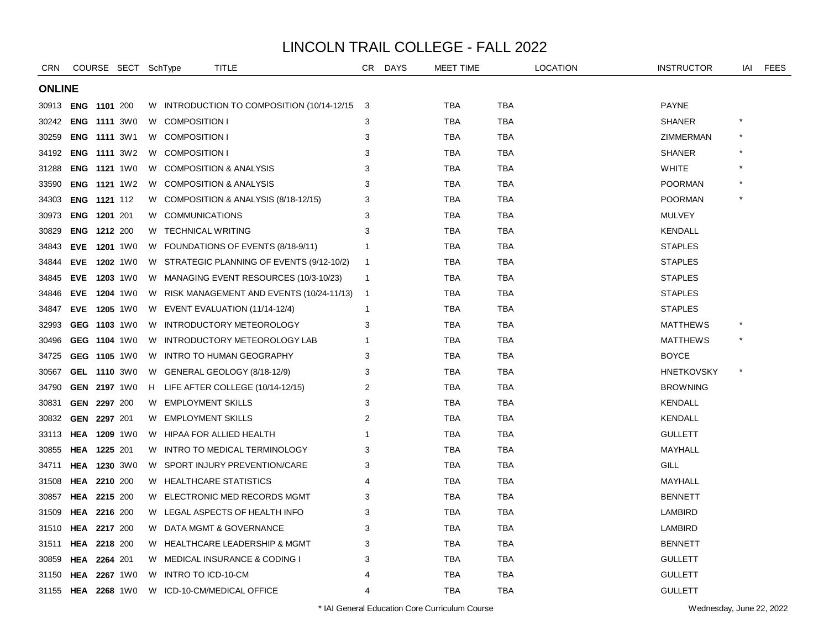| <b>CRN</b>    |                           |          | COURSE SECT SchType |    | TITLE                                       | CR             | <b>DAYS</b> | <b>MEET TIME</b> |            | <b>LOCATION</b> | <b>INSTRUCTOR</b> | iai    | <b>FEES</b> |
|---------------|---------------------------|----------|---------------------|----|---------------------------------------------|----------------|-------------|------------------|------------|-----------------|-------------------|--------|-------------|
| <b>ONLINE</b> |                           |          |                     |    |                                             |                |             |                  |            |                 |                   |        |             |
|               | 30913 <b>ENG 1101</b> 200 |          |                     |    | W INTRODUCTION TO COMPOSITION (10/14-12/15) | $_{3}$         |             | TBA              | TBA        |                 | PAYNE             |        |             |
| 30242         | <b>ENG 1111 3W0</b>       |          |                     |    | W COMPOSITION I                             | 3              |             | <b>TBA</b>       | <b>TBA</b> |                 | <b>SHANER</b>     |        |             |
| 30259         | ENG 1111 3W1              |          |                     |    | W COMPOSITION I                             | 3              |             | <b>TBA</b>       | <b>TBA</b> |                 | ZIMMERMAN         |        |             |
| 34192         | <b>ENG 1111 3W2</b>       |          |                     |    | W COMPOSITION I                             | 3              |             | <b>TBA</b>       | TBA        |                 | <b>SHANER</b>     |        |             |
| 31288         | <b>ENG 1121 1W0</b>       |          |                     |    | W COMPOSITION & ANALYSIS                    | 3              |             | <b>TBA</b>       | <b>TBA</b> |                 | <b>WHITE</b>      |        |             |
| 33590         | <b>ENG 1121 1W2</b>       |          |                     |    | W COMPOSITION & ANALYSIS                    | 3              |             | <b>TBA</b>       | <b>TBA</b> |                 | <b>POORMAN</b>    |        |             |
| 34303         | ENG 1121 112              |          |                     |    | W COMPOSITION & ANALYSIS (8/18-12/15)       | 3              |             | <b>TBA</b>       | <b>TBA</b> |                 | <b>POORMAN</b>    |        |             |
| 30973         | ENG 1201 201              |          |                     |    | W COMMUNICATIONS                            | 3              |             | <b>TBA</b>       | TBA        |                 | <b>MULVEY</b>     |        |             |
| 30829         | ENG 1212 200              |          |                     |    | W TECHNICAL WRITING                         | 3              |             | <b>TBA</b>       | TBA        |                 | <b>KENDALL</b>    |        |             |
| 34843         | EVE 1201 1W0              |          |                     | W  | FOUNDATIONS OF EVENTS (8/18-9/11)           | 1              |             | <b>TBA</b>       | TBA        |                 | <b>STAPLES</b>    |        |             |
| 34844         | EVE 1202 1W0              |          |                     |    | W STRATEGIC PLANNING OF EVENTS (9/12-10/2)  | $\mathbf 1$    |             | TBA              | TBA        |                 | <b>STAPLES</b>    |        |             |
| 34845         | EVE 1203 1W0              |          |                     |    | W MANAGING EVENT RESOURCES (10/3-10/23)     | -1             |             | <b>TBA</b>       | <b>TBA</b> |                 | <b>STAPLES</b>    |        |             |
| 34846         | EVE 1204 1W0              |          |                     |    | W RISK MANAGEMENT AND EVENTS (10/24-11/13)  | $\overline{1}$ |             | <b>TBA</b>       | <b>TBA</b> |                 | <b>STAPLES</b>    |        |             |
| 34847         | EVE 1205 1W0              |          |                     |    | W EVENT EVALUATION (11/14-12/4)             | -1             |             | <b>TBA</b>       | TBA        |                 | <b>STAPLES</b>    |        |             |
| 32993         | GEG 1103 1W0              |          |                     |    | W INTRODUCTORY METEOROLOGY                  | 3              |             | <b>TBA</b>       | TBA        |                 | <b>MATTHEWS</b>   |        |             |
| 30496         | GEG 1104 1W0              |          |                     | W. | INTRODUCTORY METEOROLOGY LAB                |                |             | TBA              | <b>TBA</b> |                 | <b>MATTHEWS</b>   |        |             |
| 34725         | GEG 1105 1W0              |          |                     |    | W INTRO TO HUMAN GEOGRAPHY                  | 3              |             | <b>TBA</b>       | <b>TBA</b> |                 | <b>BOYCE</b>      |        |             |
| 30567         | GEL 1110 3W0              |          |                     |    | W GENERAL GEOLOGY (8/18-12/9)               | 3              |             | <b>TBA</b>       | TBA        |                 | <b>HNETKOVSKY</b> | $\ast$ |             |
| 34790         | GEN 2197 1W0              |          |                     |    | H LIFE AFTER COLLEGE (10/14-12/15)          | 2              |             | <b>TBA</b>       | <b>TBA</b> |                 | <b>BROWNING</b>   |        |             |
| 30831         | GEN 2297 200              |          |                     | W. | <b>EMPLOYMENT SKILLS</b>                    | 3              |             | <b>TBA</b>       | TBA        |                 | <b>KENDALL</b>    |        |             |
| 30832         | GEN 2297 201              |          |                     | W  | <b>EMPLOYMENT SKILLS</b>                    | 2              |             | <b>TBA</b>       | TBA        |                 | <b>KENDALL</b>    |        |             |
| 33113         | <b>HEA 1209 1W0</b>       |          |                     | W  | HIPAA FOR ALLIED HEALTH                     |                |             | <b>TBA</b>       | TBA        |                 | <b>GULLETT</b>    |        |             |
| 30855         | HEA 1225 201              |          |                     |    | W INTRO TO MEDICAL TERMINOLOGY              | 3              |             | <b>TBA</b>       | <b>TBA</b> |                 | MAYHALL           |        |             |
| 34711         | HEA                       |          | <b>1230</b> 3W0     |    | W SPORT INJURY PREVENTION/CARE              | 3              |             | <b>TBA</b>       | TBA        |                 | GILL              |        |             |
| 31508         | HEA                       | 2210 200 |                     |    | W HEALTHCARE STATISTICS                     |                |             | <b>TBA</b>       | TBA        |                 | MAYHALL           |        |             |
| 30857         | HEA                       | 2215 200 |                     | W. | ELECTRONIC MED RECORDS MGMT                 | 3              |             | <b>TBA</b>       | <b>TBA</b> |                 | <b>BENNETT</b>    |        |             |
| 31509         | HEA                       | 2216 200 |                     |    | W LEGAL ASPECTS OF HEALTH INFO              | 3              |             | <b>TBA</b>       | <b>TBA</b> |                 | <b>LAMBIRD</b>    |        |             |
| 31510         | <b>HEA 2217 200</b>       |          |                     |    | W DATA MGMT & GOVERNANCE                    | 3              |             | <b>TBA</b>       | TBA        |                 | <b>LAMBIRD</b>    |        |             |
| 31511         | <b>HEA 2218 200</b>       |          |                     |    | W HEALTHCARE LEADERSHIP & MGMT              | 3              |             | <b>TBA</b>       | TBA        |                 | <b>BENNETT</b>    |        |             |
| 30859         | HEA                       | 2264 201 |                     |    | W MEDICAL INSURANCE & CODING I              | 3              |             | <b>TBA</b>       | TBA        |                 | <b>GULLETT</b>    |        |             |
| 31150         | HEA                       |          | <b>2267</b> 1W0     | W  | INTRO TO ICD-10-CM                          |                |             | <b>TBA</b>       | <b>TBA</b> |                 | <b>GULLETT</b>    |        |             |
|               | 31155 <b>HEA 2268</b> 1W0 |          |                     | W  | ICD-10-CM/MEDICAL OFFICE                    | 4              |             | <b>TBA</b>       | <b>TBA</b> |                 | <b>GULLETT</b>    |        |             |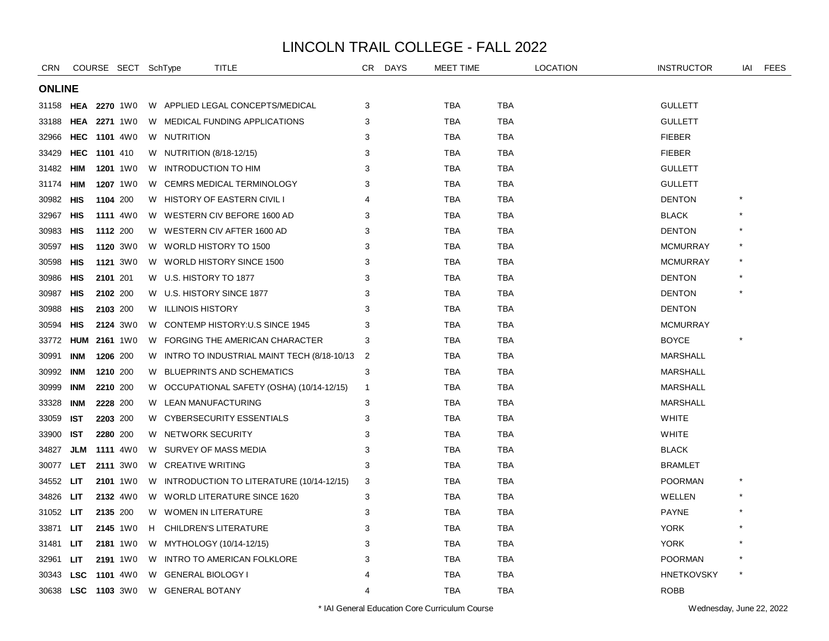| <b>CRN</b>    |                     |          | COURSE SECT SchType |    | TITLE                                      | CR.            | <b>DAYS</b> | <b>MEET TIME</b> |            | <b>LOCATION</b> | <b>INSTRUCTOR</b> | iai | <b>FEES</b> |
|---------------|---------------------|----------|---------------------|----|--------------------------------------------|----------------|-------------|------------------|------------|-----------------|-------------------|-----|-------------|
| <b>ONLINE</b> |                     |          |                     |    |                                            |                |             |                  |            |                 |                   |     |             |
| 31158         | HEA                 |          | 2270 1W0            |    | W APPLIED LEGAL CONCEPTS/MEDICAL           | 3              |             | TBA              | <b>TBA</b> |                 | <b>GULLETT</b>    |     |             |
| 33188         | <b>HEA 2271 1W0</b> |          |                     |    | W MEDICAL FUNDING APPLICATIONS             | 3              |             | TBA              | TBA        |                 | <b>GULLETT</b>    |     |             |
| 32966         | <b>HEC 1101 4W0</b> |          |                     |    | W NUTRITION                                | 3              |             | TBA              | TBA        |                 | <b>FIEBER</b>     |     |             |
| 33429         | <b>HEC</b>          | 1101 410 |                     |    | W NUTRITION (8/18-12/15)                   | 3              |             | <b>TBA</b>       | <b>TBA</b> |                 | <b>FIEBER</b>     |     |             |
| 31482         | HIM                 |          | <b>1201</b> 1W0     |    | W INTRODUCTION TO HIM                      | 3              |             | <b>TBA</b>       | <b>TBA</b> |                 | <b>GULLETT</b>    |     |             |
| 31174         | HIM                 |          | 1207 1W0            |    | W CEMRS MEDICAL TERMINOLOGY                | 3              |             | <b>TBA</b>       | TBA        |                 | <b>GULLETT</b>    |     |             |
| 30982         | HIS                 |          | 1104 200            |    | W HISTORY OF EASTERN CIVIL I               | 4              |             | <b>TBA</b>       | <b>TBA</b> |                 | <b>DENTON</b>     |     |             |
| 32967         | HIS                 |          | <b>1111</b> 4W0     |    | W WESTERN CIV BEFORE 1600 AD               | 3              |             | TBA              | TBA        |                 | <b>BLACK</b>      |     |             |
| 30983         | <b>HIS</b>          |          | 1112 200            |    | W WESTERN CIV AFTER 1600 AD                | 3              |             | <b>TBA</b>       | <b>TBA</b> |                 | <b>DENTON</b>     |     |             |
| 30597         | HIS                 |          | 1120 3W0            |    | W WORLD HISTORY TO 1500                    | 3              |             | <b>TBA</b>       | <b>TBA</b> |                 | <b>MCMURRAY</b>   |     |             |
| 30598         | HIS                 |          | 1121 3W0            | W. | WORLD HISTORY SINCE 1500                   | 3              |             | <b>TBA</b>       | TBA        |                 | <b>MCMURRAY</b>   |     |             |
| 30986         | HIS                 | 2101 201 |                     |    | W U.S. HISTORY TO 1877                     | 3              |             | <b>TBA</b>       | TBA        |                 | <b>DENTON</b>     |     |             |
| 30987         | HIS                 |          | 2102 200            |    | W U.S. HISTORY SINCE 1877                  | 3              |             | TBA              | TBA        |                 | <b>DENTON</b>     |     |             |
| 30988         | <b>HIS</b>          |          | 2103 200            |    | W ILLINOIS HISTORY                         | 3              |             | TBA              | TBA        |                 | <b>DENTON</b>     |     |             |
| 30594         | HIS                 |          | 2124 3W0            | W. | CONTEMP HISTORY: U.S SINCE 1945            | 3              |             | <b>TBA</b>       | <b>TBA</b> |                 | <b>MCMURRAY</b>   |     |             |
| 33772         | <b>HUM</b>          |          | 2161 1W0            | W  | FORGING THE AMERICAN CHARACTER             | 3              |             | <b>TBA</b>       | <b>TBA</b> |                 | <b>BOYCE</b>      |     |             |
| 30991         | <b>INM</b>          |          | 1206 200            | W  | INTRO TO INDUSTRIAL MAINT TECH (8/18-10/13 | 2              |             | <b>TBA</b>       | <b>TBA</b> |                 | <b>MARSHALL</b>   |     |             |
| 30992         | INM                 |          | 1210 200            |    | W BLUEPRINTS AND SCHEMATICS                | 3              |             | TBA              | TBA        |                 | <b>MARSHALL</b>   |     |             |
| 30999         | <b>INM</b>          |          | 2210 200            |    | W OCCUPATIONAL SAFETY (OSHA) (10/14-12/15) | $\mathbf 1$    |             | TBA              | TBA        |                 | <b>MARSHALL</b>   |     |             |
| 33328         | INM                 |          | 2228 200            | W  | LEAN MANUFACTURING                         | 3              |             | <b>TBA</b>       | <b>TBA</b> |                 | <b>MARSHALL</b>   |     |             |
| 33059         | <b>IST</b>          |          | 2203 200            | W. | <b>CYBERSECURITY ESSENTIALS</b>            | 3              |             | <b>TBA</b>       | <b>TBA</b> |                 | <b>WHITE</b>      |     |             |
| 33900         | IST                 |          | 2280 200            | W  | NETWORK SECURITY                           | 3              |             | <b>TBA</b>       | TBA        |                 | <b>WHITE</b>      |     |             |
| 34827         | <b>JLM</b>          |          | <b>1111</b> 4W0     | W  | SURVEY OF MASS MEDIA                       | 3              |             | <b>TBA</b>       | TBA        |                 | <b>BLACK</b>      |     |             |
| 30077         | <b>LET</b>          |          | 2111 3W0            |    | W CREATIVE WRITING                         | 3              |             | TBA              | TBA        |                 | <b>BRAMLET</b>    |     |             |
| 34552         | LIT                 |          | 2101 1W0            |    | W INTRODUCTION TO LITERATURE (10/14-12/15) | 3              |             | TBA              | TBA        |                 | <b>POORMAN</b>    |     |             |
| 34826         | LIT                 |          | 2132 4W0            |    | W WORLD LITERATURE SINCE 1620              | 3              |             | <b>TBA</b>       | <b>TBA</b> |                 | WELLEN            |     |             |
| 31052         | LIT                 |          | 2135 200            | W  | <b>WOMEN IN LITERATURE</b>                 | 3              |             | TBA              | TBA        |                 | <b>PAYNE</b>      |     |             |
| 33871         | LIT                 |          | 2145 1W0            | H. | <b>CHILDREN'S LITERATURE</b>               | 3              |             | <b>TBA</b>       | <b>TBA</b> |                 | <b>YORK</b>       |     |             |
| 31481         | LIT                 |          | 2181 1W0            |    | W MYTHOLOGY (10/14-12/15)                  | 3              |             | <b>TBA</b>       | <b>TBA</b> |                 | <b>YORK</b>       |     |             |
| 32961         | LIT                 |          | 2191 1W0            |    | W INTRO TO AMERICAN FOLKLORE               | 3              |             | TBA              | TBA        |                 | <b>POORMAN</b>    |     |             |
| 30343         | <b>LSC</b>          |          | <b>1101</b> 4W0     | W. | <b>GENERAL BIOLOGY I</b>                   |                |             | <b>TBA</b>       | <b>TBA</b> |                 | <b>HNETKOVSKY</b> |     |             |
| 30638 LSC     |                     |          | <b>1103</b> 3W0     |    | W GENERAL BOTANY                           | $\overline{4}$ |             | <b>TBA</b>       | <b>TBA</b> |                 | <b>ROBB</b>       |     |             |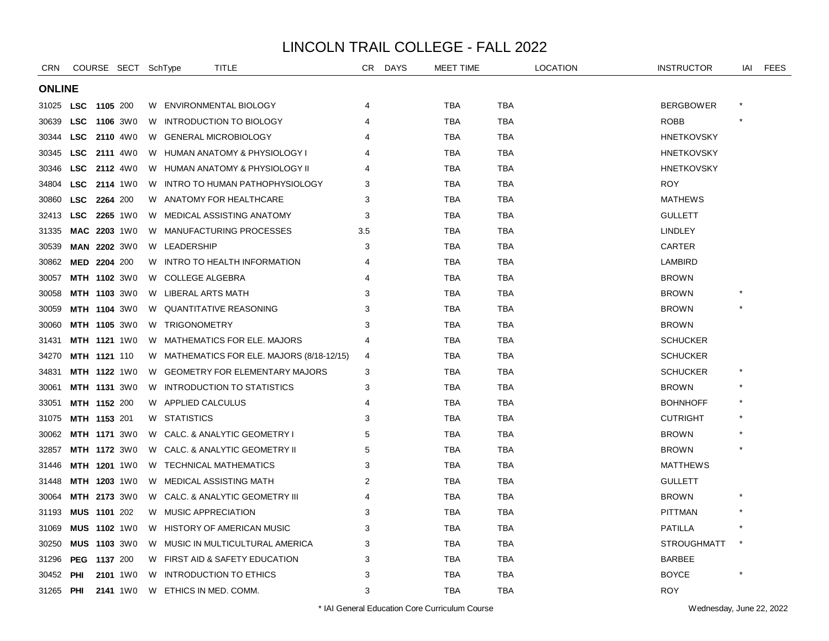| <b>CRN</b>       |            | COURSE SECT SchType |    |                        | TITLE                                      | CR  | <b>DAYS</b> | MEET TIME  |            | <b>LOCATION</b> | <b>INSTRUCTOR</b>  | IAI | <b>FEES</b> |
|------------------|------------|---------------------|----|------------------------|--------------------------------------------|-----|-------------|------------|------------|-----------------|--------------------|-----|-------------|
| <b>ONLINE</b>    |            |                     |    |                        |                                            |     |             |            |            |                 |                    |     |             |
| 31025 <b>LSC</b> |            | 1105 200            |    |                        | W ENVIRONMENTAL BIOLOGY                    | 4   |             | TBA        | <b>TBA</b> |                 | <b>BERGBOWER</b>   |     |             |
| 30639            | <b>LSC</b> | <b>1106</b> 3W0     | W  |                        | INTRODUCTION TO BIOLOGY                    | 4   |             | TBA        | <b>TBA</b> |                 | <b>ROBB</b>        |     |             |
| 30344            | <b>LSC</b> | <b>2110</b> 4W0     |    |                        | W GENERAL MICROBIOLOGY                     |     |             | <b>TBA</b> | <b>TBA</b> |                 | <b>HNETKOVSKY</b>  |     |             |
| 30345            | <b>LSC</b> | <b>2111</b> 4W0     |    |                        | W HUMAN ANATOMY & PHYSIOLOGY I             |     |             | TBA        | <b>TBA</b> |                 | <b>HNETKOVSKY</b>  |     |             |
| 30346            | <b>LSC</b> | <b>2112</b> 4W0     |    |                        | W HUMAN ANATOMY & PHYSIOLOGY II            | 4   |             | TBA        | <b>TBA</b> |                 | <b>HNETKOVSKY</b>  |     |             |
| 34804            | <b>LSC</b> | <b>2114</b> 1W0     |    |                        | W INTRO TO HUMAN PATHOPHYSIOLOGY           | 3   |             | <b>TBA</b> | <b>TBA</b> |                 | <b>ROY</b>         |     |             |
| 30860            | <b>LSC</b> | 2264 200            |    |                        | W ANATOMY FOR HEALTHCARE                   | 3   |             | <b>TBA</b> | <b>TBA</b> |                 | <b>MATHEWS</b>     |     |             |
| 32413            |            | LSC 2265 1W0        |    |                        | W MEDICAL ASSISTING ANATOMY                | 3   |             | <b>TBA</b> | <b>TBA</b> |                 | <b>GULLETT</b>     |     |             |
| 31335            |            | MAC 2203 1W0        |    |                        | W MANUFACTURING PROCESSES                  | 3.5 |             | TBA        | <b>TBA</b> |                 | <b>LINDLEY</b>     |     |             |
| 30539            |            | MAN 2202 3W0        |    | W LEADERSHIP           |                                            | 3   |             | <b>TBA</b> | <b>TBA</b> |                 | CARTER             |     |             |
| 30862            |            | MED 2204 200        |    |                        | W INTRO TO HEALTH INFORMATION              | 4   |             | TBA        | TBA        |                 | LAMBIRD            |     |             |
| 30057            |            | MTH 1102 3W0        |    | W COLLEGE ALGEBRA      |                                            | 4   |             | <b>TBA</b> | <b>TBA</b> |                 | <b>BROWN</b>       |     |             |
| 30058            |            | <b>MTH 1103 3W0</b> |    | W LIBERAL ARTS MATH    |                                            | 3   |             | TBA        | <b>TBA</b> |                 | <b>BROWN</b>       |     |             |
| 30059            |            | MTH 1104 3W0        |    |                        | W QUANTITATIVE REASONING                   | 3   |             | <b>TBA</b> | <b>TBA</b> |                 | <b>BROWN</b>       |     |             |
| 30060            |            | MTH 1105 3W0        |    | W TRIGONOMETRY         |                                            | 3   |             | <b>TBA</b> | <b>TBA</b> |                 | <b>BROWN</b>       |     |             |
| 31431            |            | MTH 1121 1W0        |    |                        | W MATHEMATICS FOR ELE. MAJORS              | 4   |             | TBA        | TBA        |                 | <b>SCHUCKER</b>    |     |             |
| 34270            |            | MTH 1121 110        |    |                        | W MATHEMATICS FOR ELE. MAJORS (8/18-12/15) | 4   |             | TBA        | <b>TBA</b> |                 | <b>SCHUCKER</b>    |     |             |
| 34831            |            | MTH 1122 1W0        |    |                        | W GEOMETRY FOR ELEMENTARY MAJORS           | 3   |             | <b>TBA</b> | <b>TBA</b> |                 | <b>SCHUCKER</b>    |     |             |
| 30061            |            | MTH 1131 3W0        |    |                        | W INTRODUCTION TO STATISTICS               | 3   |             | TBA        | <b>TBA</b> |                 | <b>BROWN</b>       |     |             |
| 33051            |            | MTH 1152 200        |    | W APPLIED CALCULUS     |                                            | 4   |             | TBA        | <b>TBA</b> |                 | <b>BOHNHOFF</b>    |     |             |
| 31075            |            | <b>MTH 1153 201</b> |    | W STATISTICS           |                                            | 3   |             | TBA        | <b>TBA</b> |                 | <b>CUTRIGHT</b>    |     |             |
| 30062            |            | <b>MTH 1171 3W0</b> | W. |                        | CALC. & ANALYTIC GEOMETRY I                | 5   |             | <b>TBA</b> | <b>TBA</b> |                 | <b>BROWN</b>       |     |             |
| 32857            |            | MTH 1172 3W0        |    |                        | W CALC. & ANALYTIC GEOMETRY II             | 5   |             | <b>TBA</b> | <b>TBA</b> |                 | <b>BROWN</b>       |     |             |
| 31446            |            | MTH 1201 1W0        |    |                        | W TECHNICAL MATHEMATICS                    | 3   |             | TBA        | <b>TBA</b> |                 | <b>MATTHEWS</b>    |     |             |
| 31448            |            | <b>MTH 1203 1W0</b> |    |                        | W MEDICAL ASSISTING MATH                   | 2   |             | <b>TBA</b> | <b>TBA</b> |                 | <b>GULLETT</b>     |     |             |
| 30064            |            | MTH 2173 3W0        |    |                        | W CALC. & ANALYTIC GEOMETRY III            | 4   |             | <b>TBA</b> | <b>TBA</b> |                 | <b>BROWN</b>       |     |             |
| 31193            |            | MUS 1101 202        |    | W MUSIC APPRECIATION   |                                            | 3   |             | <b>TBA</b> | <b>TBA</b> |                 | <b>PITTMAN</b>     |     |             |
| 31069            |            | MUS 1102 1W0        |    |                        | W HISTORY OF AMERICAN MUSIC                | 3   |             | TBA        | <b>TBA</b> |                 | <b>PATILLA</b>     |     |             |
| 30250            |            | <b>MUS 1103 3W0</b> |    |                        | W MUSIC IN MULTICULTURAL AMERICA           | 3   |             | <b>TBA</b> | <b>TBA</b> |                 | <b>STROUGHMATT</b> |     |             |
| 31296            | <b>PEG</b> | 1137 200            |    |                        | W FIRST AID & SAFETY EDUCATION             | 3   |             | TBA        | <b>TBA</b> |                 | <b>BARBEE</b>      |     |             |
| 30452            | <b>PHI</b> | 2101 1W0            | W  |                        | <b>INTRODUCTION TO ETHICS</b>              | 3   |             | TBA        | <b>TBA</b> |                 | <b>BOYCE</b>       |     |             |
| 31265 PHI        |            | 2141 1W0            |    | W ETHICS IN MED. COMM. |                                            | 3   |             | TBA        | <b>TBA</b> |                 | <b>ROY</b>         |     |             |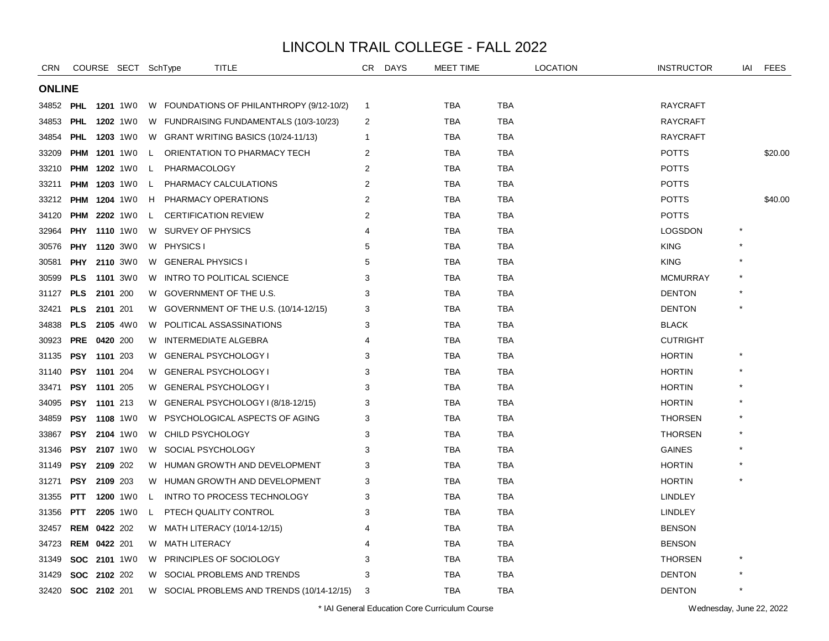| <b>CRN</b>    |                     |          | COURSE SECT SchType |    | TITLE                                      | CR.            | <b>DAYS</b> | MEET TIME  |            | <b>LOCATION</b> | <b>INSTRUCTOR</b> | iai     | <b>FEES</b> |
|---------------|---------------------|----------|---------------------|----|--------------------------------------------|----------------|-------------|------------|------------|-----------------|-------------------|---------|-------------|
| <b>ONLINE</b> |                     |          |                     |    |                                            |                |             |            |            |                 |                   |         |             |
| 34852         | <b>PHL</b>          |          | <b>1201</b> 1W0     |    | W FOUNDATIONS OF PHILANTHROPY (9/12-10/2)  | $\overline{1}$ |             | <b>TBA</b> | <b>TBA</b> |                 | <b>RAYCRAFT</b>   |         |             |
| 34853         | <b>PHL</b>          |          | <b>1202</b> 1W0     |    | W FUNDRAISING FUNDAMENTALS (10/3-10/23)    | 2              |             | <b>TBA</b> | <b>TBA</b> |                 | <b>RAYCRAFT</b>   |         |             |
| 34854         | <b>PHL</b>          |          | <b>1203</b> 1W0     |    | W GRANT WRITING BASICS (10/24-11/13)       | -1             |             | TBA        | <b>TBA</b> |                 | <b>RAYCRAFT</b>   |         |             |
| 33209         | <b>PHM</b>          |          | <b>1201</b> 1W0     | L. | ORIENTATION TO PHARMACY TECH               | $\overline{2}$ |             | <b>TBA</b> | <b>TBA</b> |                 | <b>POTTS</b>      |         | \$20.00     |
| 33210         | <b>PHM</b>          |          | <b>1202</b> 1W0     | L. | PHARMACOLOGY                               | 2              |             | <b>TBA</b> | TBA        |                 | <b>POTTS</b>      |         |             |
| 33211         | <b>PHM 1203 1W0</b> |          |                     | L. | PHARMACY CALCULATIONS                      | 2              |             | TBA        | <b>TBA</b> |                 | <b>POTTS</b>      |         |             |
| 33212         | <b>PHM</b>          |          | 1204 1W0            | H  | PHARMACY OPERATIONS                        | 2              |             | <b>TBA</b> | <b>TBA</b> |                 | <b>POTTS</b>      |         | \$40.00     |
| 34120         | <b>PHM 2202 1W0</b> |          |                     | L. | <b>CERTIFICATION REVIEW</b>                | $\overline{2}$ |             | <b>TBA</b> | <b>TBA</b> |                 | <b>POTTS</b>      |         |             |
| 32964         | <b>PHY</b>          |          | <b>1110</b> 1W0     |    | W SURVEY OF PHYSICS                        | $\overline{4}$ |             | <b>TBA</b> | <b>TBA</b> |                 | <b>LOGSDON</b>    |         |             |
| 30576         | <b>PHY</b>          |          | <b>1120</b> 3W0     |    | W PHYSICS I                                | 5              |             | <b>TBA</b> | <b>TBA</b> |                 | <b>KING</b>       |         |             |
| 30581         | <b>PHY</b>          |          | <b>2110</b> 3W0     | W. | <b>GENERAL PHYSICS I</b>                   | 5              |             | TBA        | <b>TBA</b> |                 | <b>KING</b>       |         |             |
| 30599         | <b>PLS</b>          |          | <b>1101</b> 3W0     |    | W INTRO TO POLITICAL SCIENCE               | 3              |             | <b>TBA</b> | <b>TBA</b> |                 | <b>MCMURRAY</b>   |         |             |
| 31127         | <b>PLS</b>          | 2101 200 |                     |    | W GOVERNMENT OF THE U.S.                   | 3              |             | TBA        | <b>TBA</b> |                 | <b>DENTON</b>     |         |             |
| 32421         | <b>PLS</b>          | 2101 201 |                     |    | W GOVERNMENT OF THE U.S. (10/14-12/15)     | 3              |             | <b>TBA</b> | <b>TBA</b> |                 | <b>DENTON</b>     |         |             |
| 34838         | <b>PLS</b>          |          | 2105 4W0            |    | W POLITICAL ASSASSINATIONS                 | 3              |             | <b>TBA</b> | <b>TBA</b> |                 | <b>BLACK</b>      |         |             |
| 30923         | <b>PRE</b>          | 0420 200 |                     | W  | <b>INTERMEDIATE ALGEBRA</b>                | 4              |             | <b>TBA</b> | <b>TBA</b> |                 | <b>CUTRIGHT</b>   |         |             |
| 31135         | <b>PSY</b>          | 1101 203 |                     | W  | <b>GENERAL PSYCHOLOGY I</b>                | 3              |             | <b>TBA</b> | <b>TBA</b> |                 | <b>HORTIN</b>     |         |             |
| 31140         | PSY 1101 204        |          |                     | W  | <b>GENERAL PSYCHOLOGY I</b>                | 3              |             | <b>TBA</b> | <b>TBA</b> |                 | <b>HORTIN</b>     |         |             |
| 33471         | PSY 1101 205        |          |                     |    | W GENERAL PSYCHOLOGY I                     | 3              |             | <b>TBA</b> | <b>TBA</b> |                 | <b>HORTIN</b>     |         |             |
| 34095         | PSY 1101 213        |          |                     |    | W GENERAL PSYCHOLOGY I (8/18-12/15)        | 3              |             | <b>TBA</b> | <b>TBA</b> |                 | <b>HORTIN</b>     |         |             |
| 34859         | <b>PSY</b>          |          | <b>1108</b> 1W0     | W. | PSYCHOLOGICAL ASPECTS OF AGING             | 3              |             | TBA        | <b>TBA</b> |                 | <b>THORSEN</b>    |         |             |
| 33867         | PSY                 |          | <b>2104</b> 1W0     | W  | CHILD PSYCHOLOGY                           | 3              |             | <b>TBA</b> | <b>TBA</b> |                 | <b>THORSEN</b>    |         |             |
| 31346         | PSY                 |          | 2107 1W0            | W  | SOCIAL PSYCHOLOGY                          | 3              |             | <b>TBA</b> | <b>TBA</b> |                 | <b>GAINES</b>     |         |             |
| 31149         | <b>PSY</b>          | 2109 202 |                     |    | W HUMAN GROWTH AND DEVELOPMENT             | 3              |             | <b>TBA</b> | <b>TBA</b> |                 | <b>HORTIN</b>     |         |             |
| 31271         | <b>PSY</b>          | 2109 203 |                     |    | W HUMAN GROWTH AND DEVELOPMENT             | 3              |             | <b>TBA</b> | <b>TBA</b> |                 | <b>HORTIN</b>     |         |             |
| 31355         | <b>PTT</b>          |          | 1200 1W0            | L  | INTRO TO PROCESS TECHNOLOGY                | 3              |             | TBA        | TBA        |                 | <b>LINDLEY</b>    |         |             |
| 31356         | <b>PTT</b>          |          | 2205 1W0            | L. | PTECH QUALITY CONTROL                      | 3              |             | <b>TBA</b> | <b>TBA</b> |                 | <b>LINDLEY</b>    |         |             |
| 32457         | <b>REM</b>          | 0422 202 |                     | W  | MATH LITERACY (10/14-12/15)                |                |             | <b>TBA</b> | <b>TBA</b> |                 | <b>BENSON</b>     |         |             |
| 34723         | <b>REM 0422 201</b> |          |                     |    | W MATH LITERACY                            | 4              |             | TBA        | <b>TBA</b> |                 | <b>BENSON</b>     |         |             |
| 31349         | SOC 2101 1W0        |          |                     | W. | PRINCIPLES OF SOCIOLOGY                    | 3              |             | <b>TBA</b> | <b>TBA</b> |                 | <b>THORSEN</b>    |         |             |
| 31429         | <b>SOC</b>          | 2102 202 |                     | W  | SOCIAL PROBLEMS AND TRENDS                 | 3              |             | <b>TBA</b> | <b>TBA</b> |                 | <b>DENTON</b>     |         |             |
| 32420         | SOC 2102 201        |          |                     |    | W SOCIAL PROBLEMS AND TRENDS (10/14-12/15) | 3              |             | <b>TBA</b> | <b>TBA</b> |                 | <b>DENTON</b>     | $\star$ |             |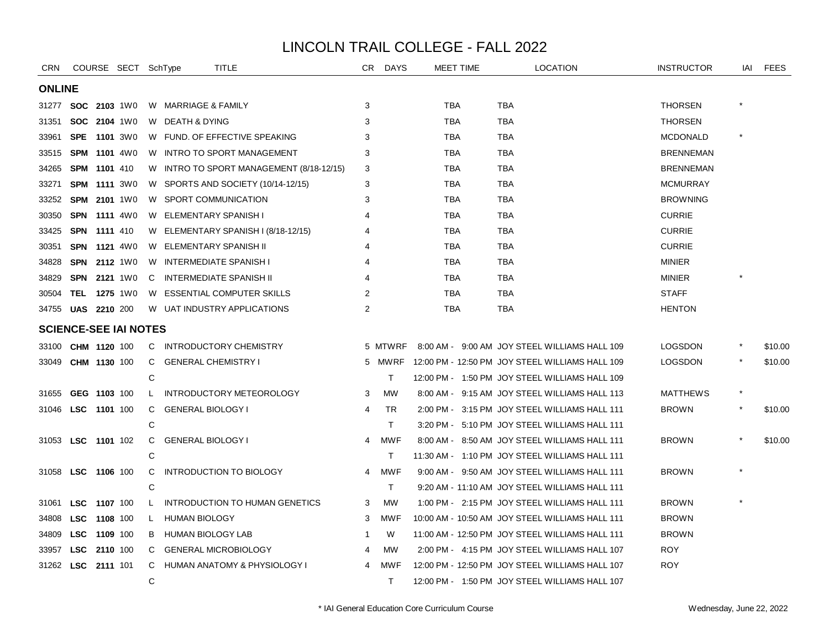| CRN           |            | COURSE SECT SchType          |    | TITLE                                   | CR . | <b>DAYS</b> | MEET TIME  | <b>LOCATION</b>                                 | <b>INSTRUCTOR</b> | iai | <b>FEES</b> |
|---------------|------------|------------------------------|----|-----------------------------------------|------|-------------|------------|-------------------------------------------------|-------------------|-----|-------------|
| <b>ONLINE</b> |            |                              |    |                                         |      |             |            |                                                 |                   |     |             |
|               |            | 31277 <b>SOC 2103</b> 1W0    |    | W MARRIAGE & FAMILY                     | 3    |             | TBA        | <b>TBA</b>                                      | <b>THORSEN</b>    |     |             |
| 31351         |            | <b>SOC 2104 1W0</b>          |    | W DEATH & DYING                         | 3    |             | <b>TBA</b> | <b>TBA</b>                                      | <b>THORSEN</b>    |     |             |
| 33961         | <b>SPE</b> | <b>1101</b> 3W0              | W. | FUND, OF EFFECTIVE SPEAKING             | 3    |             | <b>TBA</b> | <b>TBA</b>                                      | <b>MCDONALD</b>   |     |             |
| 33515         | <b>SPM</b> | <b>1101</b> 4W0              | W. | <b>INTRO TO SPORT MANAGEMENT</b>        | 3    |             | <b>TBA</b> | <b>TBA</b>                                      | <b>BRENNEMAN</b>  |     |             |
| 34265         | <b>SPM</b> | 1101 410                     | W  | INTRO TO SPORT MANAGEMENT (8/18-12/15)  | 3    |             | <b>TBA</b> | <b>TBA</b>                                      | <b>BRENNEMAN</b>  |     |             |
| 33271         | <b>SPM</b> | <b>1111</b> 3W0              |    | W SPORTS AND SOCIETY (10/14-12/15)      | 3    |             | <b>TBA</b> | <b>TBA</b>                                      | <b>MCMURRAY</b>   |     |             |
| 33252         | <b>SPM</b> | 2101 1W0                     |    | W SPORT COMMUNICATION                   | 3    |             | <b>TBA</b> | <b>TBA</b>                                      | <b>BROWNING</b>   |     |             |
| 30350         | <b>SPN</b> | <b>1111</b> 4W0              | W  | ELEMENTARY SPANISH I                    |      |             | <b>TBA</b> | TBA                                             | <b>CURRIE</b>     |     |             |
| 33425         | <b>SPN</b> | 1111 410                     | W  | ELEMENTARY SPANISH I (8/18-12/15)       |      |             | TBA        | TBA                                             | <b>CURRIE</b>     |     |             |
| 30351         |            | <b>SPN 1121 4W0</b>          | W  | ELEMENTARY SPANISH II                   |      |             | <b>TBA</b> | <b>TBA</b>                                      | <b>CURRIE</b>     |     |             |
| 34828         |            | SPN 2112 1W0                 | W  | <b>INTERMEDIATE SPANISH I</b>           |      |             | TBA        | TBA                                             | <b>MINIER</b>     |     |             |
| 34829         |            | <b>SPN 2121 1W0</b>          | C  | <b>INTERMEDIATE SPANISH II</b>          | 4    |             | TBA        | TBA                                             | <b>MINIER</b>     |     |             |
| 30504         |            | <b>TEL 1275</b> 1W0          | W  | <b>ESSENTIAL COMPUTER SKILLS</b>        | 2    |             | TBA        | TBA                                             | <b>STAFF</b>      |     |             |
| 34755         |            | <b>UAS 2210 200</b>          |    | W UAT INDUSTRY APPLICATIONS             | 2    |             | <b>TBA</b> | <b>TBA</b>                                      | <b>HENTON</b>     |     |             |
|               |            | <b>SCIENCE-SEE IAI NOTES</b> |    |                                         |      |             |            |                                                 |                   |     |             |
| 33100         |            | CHM 1120 100                 | C. | INTRODUCTORY CHEMISTRY                  |      | 5 MTWRF     |            | 8:00 AM - 9:00 AM JOY STEEL WILLIAMS HALL 109   | <b>LOGSDON</b>    |     | \$10.00     |
| 33049         |            | CHM 1130 100                 | C  | <b>GENERAL CHEMISTRY I</b>              |      | 5 MWRF      |            | 12:00 PM - 12:50 PM JOY STEEL WILLIAMS HALL 109 | <b>LOGSDON</b>    |     | \$10.00     |
|               |            |                              | C  |                                         |      | T.          |            | 12:00 PM - 1:50 PM JOY STEEL WILLIAMS HALL 109  |                   |     |             |
| 31655         |            | GEG 1103 100                 | L  | INTRODUCTORY METEOROLOGY                | 3    | <b>MW</b>   |            | 8:00 AM - 9:15 AM JOY STEEL WILLIAMS HALL 113   | <b>MATTHEWS</b>   |     |             |
| 31046         |            | LSC 1101 100                 | C  | <b>GENERAL BIOLOGY I</b>                | 4    | <b>TR</b>   |            | 2:00 PM - 3:15 PM JOY STEEL WILLIAMS HALL 111   | <b>BROWN</b>      |     | \$10.00     |
|               |            |                              | C  |                                         |      | T.          |            | 3:20 PM - 5:10 PM JOY STEEL WILLIAMS HALL 111   |                   |     |             |
|               |            | 31053 LSC 1101 102           | C  | <b>GENERAL BIOLOGY I</b>                | 4    | <b>MWF</b>  |            | 8:00 AM - 8:50 AM JOY STEEL WILLIAMS HALL 111   | <b>BROWN</b>      |     | \$10.00     |
|               |            |                              | C  |                                         |      | T.          |            | 11:30 AM - 1:10 PM JOY STEEL WILLIAMS HALL 111  |                   |     |             |
| 31058         |            | LSC 1106 100                 | C  | <b>INTRODUCTION TO BIOLOGY</b>          | 4    | <b>MWF</b>  |            | 9:00 AM - 9:50 AM JOY STEEL WILLIAMS HALL 111   | <b>BROWN</b>      |     |             |
|               |            |                              | C  |                                         |      | T.          |            | 9:20 AM - 11:10 AM JOY STEEL WILLIAMS HALL 111  |                   |     |             |
| 31061         | <b>LSC</b> | 1107 100                     | L. | INTRODUCTION TO HUMAN GENETICS          | 3    | <b>MW</b>   |            | 1:00 PM - 2:15 PM JOY STEEL WILLIAMS HALL 111   | <b>BROWN</b>      |     |             |
| 34808         | <b>LSC</b> | 1108 100                     | L. | <b>HUMAN BIOLOGY</b>                    | 3    | <b>MWF</b>  |            | 10:00 AM - 10:50 AM JOY STEEL WILLIAMS HALL 111 | <b>BROWN</b>      |     |             |
| 34809         | <b>LSC</b> | 1109 100                     | B  | HUMAN BIOLOGY LAB                       | -1   | W           |            | 11:00 AM - 12:50 PM JOY STEEL WILLIAMS HALL 111 | <b>BROWN</b>      |     |             |
| 33957         | <b>LSC</b> | 2110 100                     | C  | <b>GENERAL MICROBIOLOGY</b>             | 4    | <b>MW</b>   |            | 2:00 PM - 4:15 PM JOY STEEL WILLIAMS HALL 107   | <b>ROY</b>        |     |             |
| 31262         | LSC        | 2111 101                     | C  | <b>HUMAN ANATOMY &amp; PHYSIOLOGY I</b> | 4    | <b>MWF</b>  |            | 12:00 PM - 12:50 PM JOY STEEL WILLIAMS HALL 107 | <b>ROY</b>        |     |             |
|               |            |                              | C  |                                         |      | T.          |            | 12:00 PM - 1:50 PM JOY STEEL WILLIAMS HALL 107  |                   |     |             |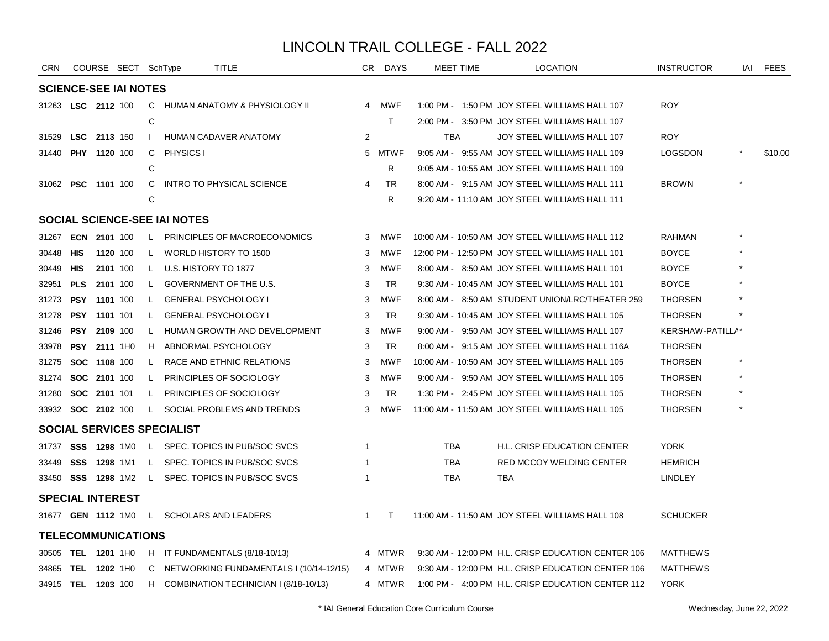| <b>CRN</b>                          |                     |          | COURSE SECT SchType          |              | TITLE                                   | CR.            | <b>DAYS</b> | MEET TIME  | <b>LOCATION</b>                                    | <b>INSTRUCTOR</b> | IAI | <b>FEES</b> |
|-------------------------------------|---------------------|----------|------------------------------|--------------|-----------------------------------------|----------------|-------------|------------|----------------------------------------------------|-------------------|-----|-------------|
|                                     |                     |          | <b>SCIENCE-SEE IAI NOTES</b> |              |                                         |                |             |            |                                                    |                   |     |             |
| 31263 LSC 2112 100                  |                     |          |                              |              | C HUMAN ANATOMY & PHYSIOLOGY II         | $\overline{4}$ | MWF         |            | 1:00 PM - 1:50 PM JOY STEEL WILLIAMS HALL 107      | <b>ROY</b>        |     |             |
|                                     |                     |          |                              | C            |                                         |                | T.          |            | 2:00 PM - 3:50 PM JOY STEEL WILLIAMS HALL 107      |                   |     |             |
| 31529                               | LSC 2113 150        |          |                              | $\mathbf{I}$ | <b>HUMAN CADAVER ANATOMY</b>            | $\overline{2}$ |             | <b>TBA</b> | JOY STEEL WILLIAMS HALL 107                        | <b>ROY</b>        |     |             |
| 31440                               | <b>PHY 1120 100</b> |          |                              | C            | <b>PHYSICS I</b>                        |                | 5 MTWF      |            | 9:05 AM - 9:55 AM JOY STEEL WILLIAMS HALL 109      | <b>LOGSDON</b>    |     | \$10.00     |
|                                     |                     |          |                              | C            |                                         |                | R           |            | 9:05 AM - 10:55 AM JOY STEEL WILLIAMS HALL 109     |                   |     |             |
| 31062 PSC 1101 100                  |                     |          |                              | C            | <b>INTRO TO PHYSICAL SCIENCE</b>        | 4              | TR          |            | 8:00 AM - 9:15 AM JOY STEEL WILLIAMS HALL 111      | <b>BROWN</b>      |     |             |
|                                     |                     |          |                              | C            |                                         |                | R.          |            | 9:20 AM - 11:10 AM JOY STEEL WILLIAMS HALL 111     |                   |     |             |
| <b>SOCIAL SCIENCE-SEE IAI NOTES</b> |                     |          |                              |              |                                         |                |             |            |                                                    |                   |     |             |
| 31267                               | ECN 2101 100        |          |                              | L            | PRINCIPLES OF MACROECONOMICS            | 3              | MWF         |            | 10:00 AM - 10:50 AM JOY STEEL WILLIAMS HALL 112    | <b>RAHMAN</b>     |     |             |
| 30448                               | <b>HIS</b>          |          | 1120 100                     | L.           | WORLD HISTORY TO 1500                   | 3              | <b>MWF</b>  |            | 12:00 PM - 12:50 PM JOY STEEL WILLIAMS HALL 101    | <b>BOYCE</b>      |     |             |
| 30449 HIS                           |                     |          | 2101 100                     | L.           | U.S. HISTORY TO 1877                    | 3              | <b>MWF</b>  |            | 8:00 AM - 8:50 AM JOY STEEL WILLIAMS HALL 101      | <b>BOYCE</b>      |     |             |
| 32951 PLS                           |                     | 2101 100 |                              | L.           | GOVERNMENT OF THE U.S.                  | 3              | TR          |            | 9:30 AM - 10:45 AM JOY STEEL WILLIAMS HALL 101     | <b>BOYCE</b>      |     |             |
| 31273 <b>PSY 1101</b> 100           |                     |          |                              | L.           | <b>GENERAL PSYCHOLOGY I</b>             | 3              | <b>MWF</b>  |            | 8:00 AM - 8:50 AM STUDENT UNION/LRC/THEATER 259    | <b>THORSEN</b>    |     |             |
| 31278                               | PSY 1101 101        |          |                              | L            | <b>GENERAL PSYCHOLOGY I</b>             | 3              | <b>TR</b>   |            | 9:30 AM - 10:45 AM JOY STEEL WILLIAMS HALL 105     | <b>THORSEN</b>    |     |             |
| 31246                               | PSY                 | 2109 100 |                              | L            | HUMAN GROWTH AND DEVELOPMENT            | 3              | <b>MWF</b>  |            | 9:00 AM - 9:50 AM JOY STEEL WILLIAMS HALL 107      | KERSHAW-PATILLA*  |     |             |
| 33978                               | PSY                 |          | 2111 1H0                     | H            | ABNORMAL PSYCHOLOGY                     | 3              | TR          |            | 8:00 AM - 9:15 AM JOY STEEL WILLIAMS HALL 116A     | <b>THORSEN</b>    |     |             |
| 31275                               | SOC 1108 100        |          |                              | L.           | RACE AND ETHNIC RELATIONS               | 3              | MWF         |            | 10:00 AM - 10:50 AM JOY STEEL WILLIAMS HALL 105    | <b>THORSEN</b>    |     |             |
| 31274                               | SOC 2101 100        |          |                              | L            | PRINCIPLES OF SOCIOLOGY                 | 3              | <b>MWF</b>  |            | 9:00 AM - 9:50 AM JOY STEEL WILLIAMS HALL 105      | <b>THORSEN</b>    |     |             |
| 31280                               | SOC 2101 101        |          |                              | L            | PRINCIPLES OF SOCIOLOGY                 | 3              | <b>TR</b>   |            | 1:30 PM - 2:45 PM JOY STEEL WILLIAMS HALL 105      | <b>THORSEN</b>    |     |             |
| 33932 <b>SOC 2102</b> 100           |                     |          |                              | L.           | SOCIAL PROBLEMS AND TRENDS              | 3              | <b>MWF</b>  |            | 11:00 AM - 11:50 AM JOY STEEL WILLIAMS HALL 105    | <b>THORSEN</b>    |     |             |
|                                     |                     |          |                              |              | SOCIAL SERVICES SPECIALIST              |                |             |            |                                                    |                   |     |             |
| 31737                               | <b>SSS 1298 1M0</b> |          |                              | L.           | SPEC. TOPICS IN PUB/SOC SVCS            | -1             |             | <b>TBA</b> | H.L. CRISP EDUCATION CENTER                        | <b>YORK</b>       |     |             |
| 33449                               | SSS 1298 1M1        |          |                              | L.           | SPEC. TOPICS IN PUB/SOC SVCS            | 1              |             | <b>TBA</b> | RED MCCOY WELDING CENTER                           | <b>HEMRICH</b>    |     |             |
| 33450 <b>SSS 1298</b> 1M2           |                     |          |                              |              | L SPEC. TOPICS IN PUB/SOC SVCS          |                |             | <b>TBA</b> | <b>TBA</b>                                         | <b>LINDLEY</b>    |     |             |
| <b>SPECIAL INTEREST</b>             |                     |          |                              |              |                                         |                |             |            |                                                    |                   |     |             |
| 31677 GEN 1112 1M0                  |                     |          |                              | L,           | <b>SCHOLARS AND LEADERS</b>             | $\mathbf{1}$   | T           |            | 11:00 AM - 11:50 AM JOY STEEL WILLIAMS HALL 108    | <b>SCHUCKER</b>   |     |             |
| <b>TELECOMMUNICATIONS</b>           |                     |          |                              |              |                                         |                |             |            |                                                    |                   |     |             |
| 30505 TEL 1201 1H0                  |                     |          |                              |              | H IT FUNDAMENTALS (8/18-10/13)          |                | 4 MTWR      |            | 9:30 AM - 12:00 PM H.L. CRISP EDUCATION CENTER 106 | <b>MATTHEWS</b>   |     |             |
| 34865                               | <b>TEL 1202 1H0</b> |          |                              | C            | NETWORKING FUNDAMENTALS I (10/14-12/15) |                | 4 MTWR      |            | 9:30 AM - 12:00 PM H.L. CRISP EDUCATION CENTER 106 | <b>MATTHEWS</b>   |     |             |
| 34915 TEL 1203 100                  |                     |          |                              |              | H COMBINATION TECHNICIAN I (8/18-10/13) |                | 4 MTWR      |            | 1:00 PM - 4:00 PM H.L. CRISP EDUCATION CENTER 112  | <b>YORK</b>       |     |             |